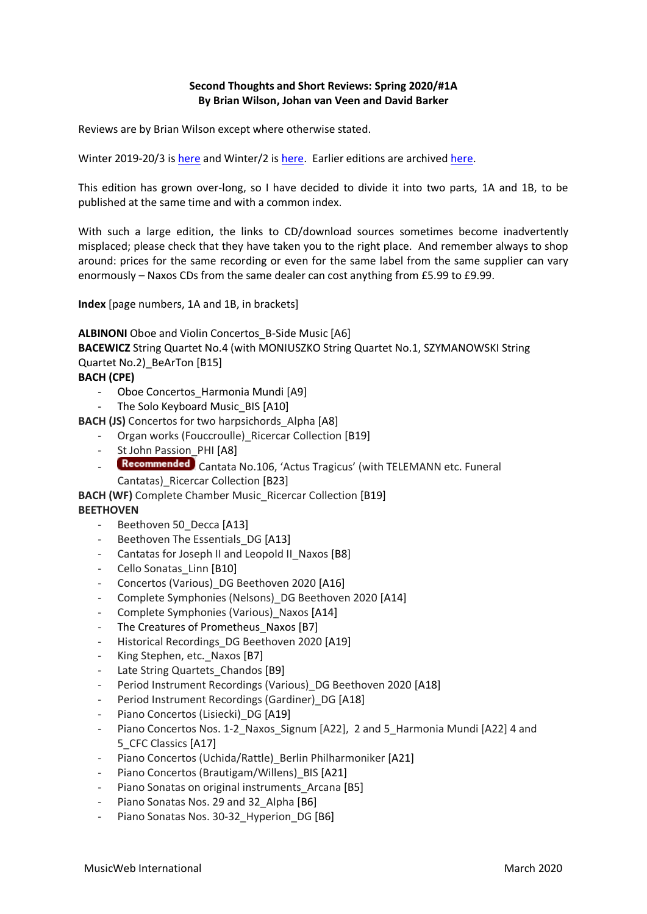### **Second Thoughts and Short Reviews: Spring 2020/#1A By Brian Wilson, Johan van Veen and David Barker**

Reviews are by Brian Wilson except where otherwise stated.

Winter 2019-20/3 is [here](http://musicweb-international.com/classrev/2020/Feb/Winter_2019_20_3.pdf) and Winter/2 is [here.](http://www.musicweb-international.com/classrev/download.htm) Earlier editions are archived here.

This edition has grown over-long, so I have decided to divide it into two parts, 1A and 1B, to be published at the same time and with a common index.

With such a large edition, the links to CD/download sources sometimes become inadvertently misplaced; please check that they have taken you to the right place. And remember always to shop around: prices for the same recording or even for the same label from the same supplier can vary enormously – Naxos CDs from the same dealer can cost anything from £5.99 to £9.99.

**Index** [page numbers, 1A and 1B, in brackets]

**ALBINONI** Oboe and Violin Concertos B-Side Music [A6] **BACEWICZ** String Quartet No.4 (with MONIUSZKO String Quartet No.1, SZYMANOWSKI String Quartet No.2) BeArTon [B15] **BACH (CPE)**

- Oboe Concertos\_Harmonia Mundi [A9]
- The Solo Keyboard Music\_BIS [A10]

**BACH (JS)** Concertos for two harpsichords\_Alpha [A8]

- Organ works (Fouccroulle) Ricercar Collection [B19]
- St John Passion PHI [A8]
- Recommended Cantata No.106, 'Actus Tragicus' (with TELEMANN etc. Funeral Cantatas)\_Ricercar Collection [B23]

**BACH (WF)** Complete Chamber Music Ricercar Collection [B19]

# **BEETHOVEN**

- Beethoven 50\_Decca [A13]
- Beethoven The Essentials\_DG [A13]
- Cantatas for Joseph II and Leopold II Naxos [B8]
- Cello Sonatas Linn [B10]
- Concertos (Various) DG Beethoven 2020 [A16]
- Complete Symphonies (Nelsons) DG Beethoven 2020 [A14]
- Complete Symphonies (Various) Naxos [A14]
- The Creatures of Prometheus Naxos [B7]
- Historical Recordings DG Beethoven 2020 [A19]
- King Stephen, etc.\_Naxos [B7]
- Late String Quartets\_Chandos [B9]
- Period Instrument Recordings (Various) DG Beethoven 2020 [A18]
- Period Instrument Recordings (Gardiner) DG [A18]
- Piano Concertos (Lisiecki) DG [A19]
- Piano Concertos Nos. 1-2\_Naxos\_Signum [A22], 2 and 5\_Harmonia Mundi [A22] 4 and 5\_CFC Classics [A17]
- Piano Concertos (Uchida/Rattle) Berlin Philharmoniker [A21]
- Piano Concertos (Brautigam/Willens) BIS [A21]
- Piano Sonatas on original instruments Arcana [B5]
- Piano Sonatas Nos. 29 and 32 Alpha [B6]
- Piano Sonatas Nos. 30-32 Hyperion DG [B6]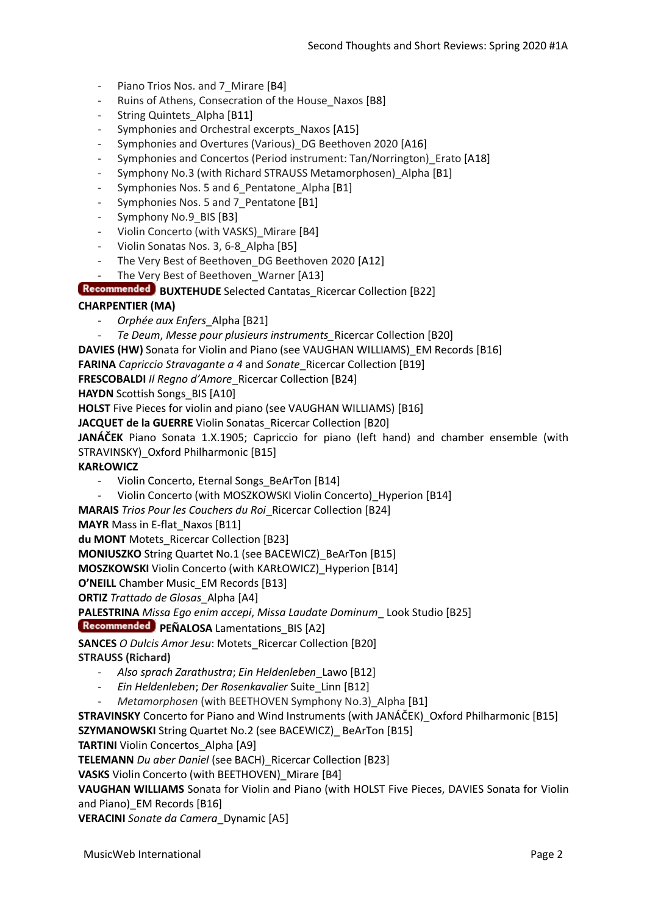- Piano Trios Nos. and 7 Mirare [B4]
- Ruins of Athens, Consecration of the House Naxos [B8]
- String Quintets Alpha [B11]
- Symphonies and Orchestral excerpts Naxos [A15]
- Symphonies and Overtures (Various) DG Beethoven 2020 [A16]
- Symphonies and Concertos (Period instrument: Tan/Norrington) Erato [A18]
- Symphony No.3 (with Richard STRAUSS Metamorphosen) Alpha [B1]
- Symphonies Nos. 5 and 6 Pentatone Alpha [B1]
- Symphonies Nos. 5 and 7 Pentatone [B1]
- Symphony No.9 BIS [B3]
- Violin Concerto (with VASKS) Mirare [B4]
- Violin Sonatas Nos. 3, 6-8 Alpha [B5]
- The Very Best of Beethoven DG Beethoven 2020 [A12]
- The Very Best of Beethoven Warner [A13]

**Recommended BUXTEHUDE** Selected Cantatas\_Ricercar Collection [B22]

# **CHARPENTIER (MA)**

- *Orphée aux Enfers*\_Alpha [B21]
- *Te Deum*, *Messe pour plusieurs instruments\_*Ricercar Collection [B20]
- **DAVIES (HW)** Sonata for Violin and Piano (see VAUGHAN WILLIAMS)\_EM Records [B16]

**FARINA** *Capriccio Stravagante a 4* and *Sonate*\_Ricercar Collection [B19]

**FRESCOBALDI** *Il Regno d'Amore*\_Ricercar Collection [B24]

**HAYDN** Scottish Songs BIS [A10]

**HOLST** Five Pieces for violin and piano (see VAUGHAN WILLIAMS) [B16]

**JACQUET de la GUERRE** Violin Sonatas\_Ricercar Collection [B20]

**JANÁČEK** Piano Sonata 1.X.1905; Capriccio for piano (left hand) and chamber ensemble (with STRAVINSKY) Oxford Philharmonic [B15]

#### **KARŁOWICZ**

- Violin Concerto, Eternal Songs\_BeArTon [B14]
- Violin Concerto (with MOSZKOWSKI Violin Concerto) Hyperion [B14]

**MARAIS** *Trios Pour les Couchers du Roi*\_Ricercar Collection [B24]

**MAYR** Mass in E-flat\_Naxos [B11]

**du MONT** Motets\_Ricercar Collection [B23]

**MONIUSZKO** String Quartet No.1 (see BACEWICZ)\_BeArTon [B15]

**MOSZKOWSKI** Violin Concerto (with KARŁOWICZ)\_Hyperion [B14]

**O'NEILL** Chamber Music\_EM Records [B13]

**ORTIZ** *Trattado de Glosas*\_Alpha [A4]

**PALESTRINA** *Missa Ego enim accepi*, *Missa Laudate Dominum*\_ Look Studio [B25]

**Recommended PEÑALOSA** Lamentations BIS [A2]

**SANCES** *O Dulcis Amor Jesu*: Motets\_Ricercar Collection [B20]

**STRAUSS (Richard)**

- *Also sprach Zarathustra*; *Ein Heldenleben*\_Lawo [B12]
- *Ein Heldenleben*; *Der Rosenkavalier* Suite\_Linn [B12]
- *Metamorphosen* (with BEETHOVEN Symphony No.3) Alpha [B1]

**STRAVINSKY** Concerto for Piano and Wind Instruments (with JANÁČEK)\_Oxford Philharmonic [B15]

**SZYMANOWSKI** String Quartet No.2 (see BACEWICZ) BeArTon [B15]

**TARTINI** Violin Concertos Alpha [A9]

**TELEMANN** *Du aber Daniel* (see BACH)\_Ricercar Collection [B23]

**VASKS** Violin Concerto (with BEETHOVEN)\_Mirare [B4]

**VAUGHAN WILLIAMS** Sonata for Violin and Piano (with HOLST Five Pieces, DAVIES Sonata for Violin and Piano) EM Records [B16]

**VERACINI** *Sonate da Camera*\_Dynamic [A5]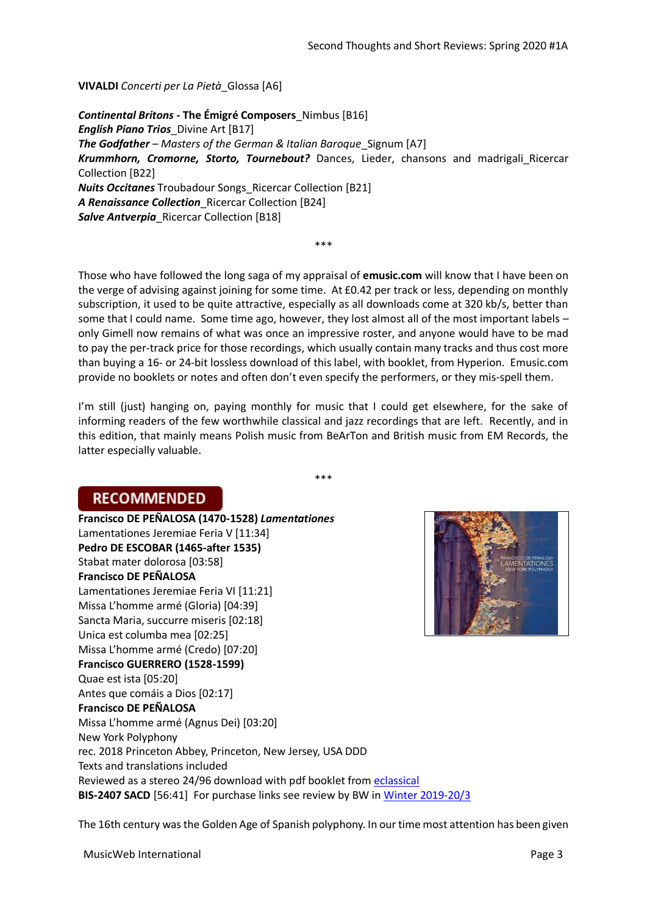**VIVALDI** *Concerti per La Pietà*\_Glossa [A6]

*Continental Britons* **- The Émigré Composers**\_Nimbus [B16] *English Piano Trios*\_Divine Art [B17] *The Godfather – Masters of the German & Italian Baroque* Signum [A7] *Krummhorn, Cromorne, Storto, Tournebout?* Dances, Lieder, chansons and madrigali\_Ricercar Collection [B22] *Nuits Occitanes* Troubadour Songs\_Ricercar Collection [B21] *A Renaissance Collection*\_Ricercar Collection [B24] *Salve Antverpia*\_Ricercar Collection [B18]

\*\*\*

Those who have followed the long saga of my appraisal of **emusic.com** will know that I have been on the verge of advising against joining for some time. At £0.42 per track or less, depending on monthly subscription, it used to be quite attractive, especially as all downloads come at 320 kb/s, better than some that I could name. Some time ago, however, they lost almost all of the most important labels – only Gimell now remains of what was once an impressive roster, and anyone would have to be mad to pay the per-track price for those recordings, which usually contain many tracks and thus cost more than buying a 16- or 24-bit lossless download of this label, with booklet, from Hyperion. Emusic.com provide no booklets or notes and often don't even specify the performers, or they mis-spell them.

I'm still (just) hanging on, paying monthly for music that I could get elsewhere, for the sake of informing readers of the few worthwhile classical and jazz recordings that are left. Recently, and in this edition, that mainly means Polish music from BeArTon and British music from EM Records, the latter especially valuable.

\*\*\*

# **RECOMMENDED**

**Francisco DE PEÑALOSA (1470-1528)** *Lamentationes* Lamentationes Jeremiae Feria V [11:34] **Pedro DE ESCOBAR (1465-after 1535)** Stabat mater dolorosa [03:58] **Francisco DE PEÑALOSA** Lamentationes Jeremiae Feria VI [11:21] Missa L'homme armé (Gloria) [04:39] Sancta Maria, succurre miseris [02:18] Unica est columba mea [02:25] Missa L'homme armé (Credo) [07:20] **Francisco GUERRERO (1528-1599)** Quae est ista [05:20] Antes que comáis a Dios [02:17] **Francisco DE PEÑALOSA** Missa L'homme armé (Agnus Dei) [03:20] New York Polyphony rec. 2018 Princeton Abbey, Princeton, New Jersey, USA DDD Texts and translations included Reviewed as a stereo 24/96 download with pdf booklet from [eclassical](https://www.eclassical.com/performers/new-york-polyphony/penalosa-lamentationes.html) **BIS-2407 SACD** [56:41] For purchase links see review by BW in [Winter 2019-20/3](http://www.musicweb-international.com/classrev/2020/Feb/Winter_2019_20_3.pdf)



The 16th century was the Golden Age of Spanish polyphony. In our time most attention has been given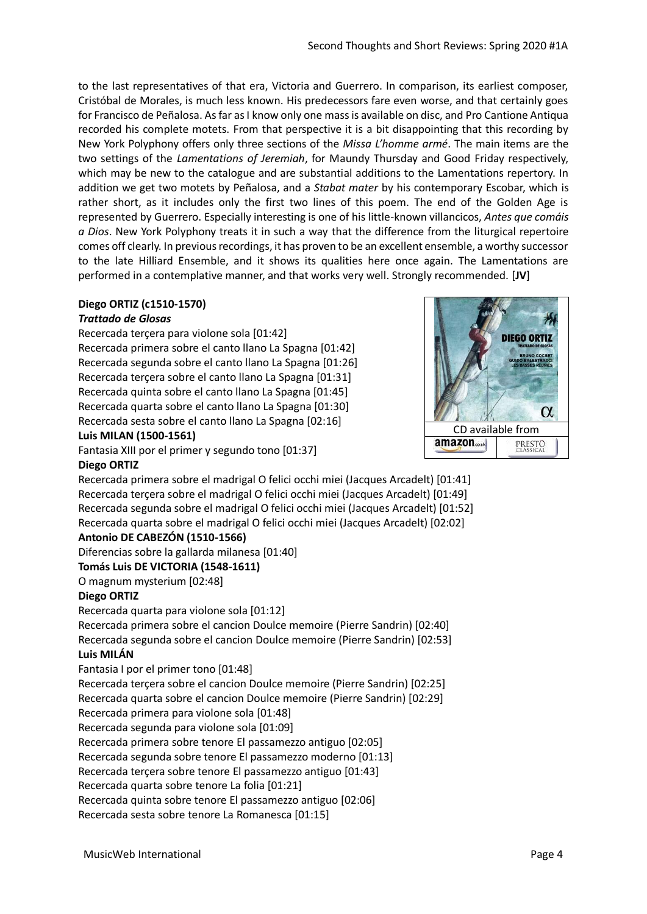to the last representatives of that era, Victoria and Guerrero. In comparison, its earliest composer, Cristóbal de Morales, is much less known. His predecessors fare even worse, and that certainly goes for Francisco de Peñalosa. As far as I know only one mass is available on disc, and Pro Cantione Antiqua recorded his complete motets. From that perspective it is a bit disappointing that this recording by New York Polyphony offers only three sections of the *Missa L'homme armé*. The main items are the two settings of the *Lamentations of Jeremiah*, for Maundy Thursday and Good Friday respectively, which may be new to the catalogue and are substantial additions to the Lamentations repertory. In addition we get two motets by Peñalosa, and a *Stabat mater* by his contemporary Escobar, which is rather short, as it includes only the first two lines of this poem. The end of the Golden Age is represented by Guerrero. Especially interesting is one of his little-known villancicos, *Antes que comáis a Dios*. New York Polyphony treats it in such a way that the difference from the liturgical repertoire comes off clearly. In previous recordings, it has proven to be an excellent ensemble, a worthy successor to the late Hilliard Ensemble, and it shows its qualities here once again. The Lamentations are performed in a contemplative manner, and that works very well. Strongly recommended. [**JV**]

#### **Diego ORTIZ (c1510-1570)**

#### *Trattado de Glosas*

Recercada terçera para violone sola [01:42] Recercada primera sobre el canto llano La Spagna [01:42] Recercada segunda sobre el canto llano La Spagna [01:26] Recercada terçera sobre el canto llano La Spagna [01:31] Recercada quinta sobre el canto llano La Spagna [01:45] Recercada quarta sobre el canto llano La Spagna [01:30] Recercada sesta sobre el canto llano La Spagna [02:16]

#### **Luis MILAN (1500-1561)**

Fantasia XIII por el primer y segundo tono [01:37]

#### **Diego ORTIZ**

Recercada primera sobre el madrigal O felici occhi miei (Jacques Arcadelt) [01:41] Recercada terçera sobre el madrigal O felici occhi miei (Jacques Arcadelt) [01:49] Recercada segunda sobre el madrigal O felici occhi miei (Jacques Arcadelt) [01:52] Recercada quarta sobre el madrigal O felici occhi miei (Jacques Arcadelt) [02:02]

# **Antonio DE CABEZÓN (1510-1566)**

Diferencias sobre la gallarda milanesa [01:40]

**Tomás Luis DE VICTORIA (1548-1611)**

O magnum mysterium [02:48]

#### **Diego ORTIZ**

Recercada quarta para violone sola [01:12]

Recercada primera sobre el cancion Doulce memoire (Pierre Sandrin) [02:40] Recercada segunda sobre el cancion Doulce memoire (Pierre Sandrin) [02:53]

# **Luis MILÁN**

Fantasia I por el primer tono [01:48]

Recercada terçera sobre el cancion Doulce memoire (Pierre Sandrin) [02:25] Recercada quarta sobre el cancion Doulce memoire (Pierre Sandrin) [02:29]

Recercada primera para violone sola [01:48]

Recercada segunda para violone sola [01:09]

Recercada primera sobre tenore El passamezzo antiguo [02:05]

Recercada segunda sobre tenore El passamezzo moderno [01:13]

Recercada terçera sobre tenore El passamezzo antiguo [01:43]

Recercada quarta sobre tenore La folia [01:21]

Recercada quinta sobre tenore El passamezzo antiguo [02:06]

Recercada sesta sobre tenore La Romanesca [01:15]



[CD avai](http://www.amazon.co.uk/exec/obidos/ASIN/B07YMHB1QF/musicwebuk)lab[le from](https://www.prestomusic.com/aff/1004/classical/products/8736874--ortiz-trattado-de-glosas)

**DIEGO ORTIZ** 

 $\alpha$ 

PRESTO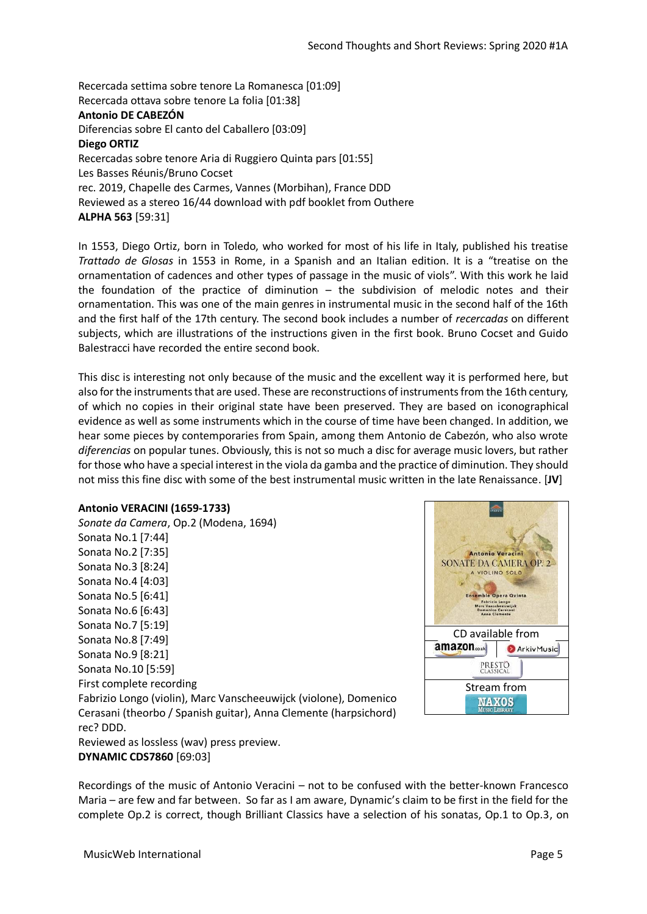Recercada settima sobre tenore La Romanesca [01:09] Recercada ottava sobre tenore La folia [01:38] **Antonio DE CABEZÓN** Diferencias sobre El canto del Caballero [03:09] **Diego ORTIZ** Recercadas sobre tenore Aria di Ruggiero Quinta pars [01:55] Les Basses Réunis/Bruno Cocset rec. 2019, Chapelle des Carmes, Vannes (Morbihan), France DDD Reviewed as a stereo 16/44 download with pdf booklet from Outhere **ALPHA 563** [59:31]

In 1553, Diego Ortiz, born in Toledo, who worked for most of his life in Italy, published his treatise *Trattado de Glosas* in 1553 in Rome, in a Spanish and an Italian edition. It is a "treatise on the ornamentation of cadences and other types of passage in the music of viols". With this work he laid the foundation of the practice of diminution – the subdivision of melodic notes and their ornamentation. This was one of the main genres in instrumental music in the second half of the 16th and the first half of the 17th century. The second book includes a number of *recercadas* on different subjects, which are illustrations of the instructions given in the first book. Bruno Cocset and Guido Balestracci have recorded the entire second book.

This disc is interesting not only because of the music and the excellent way it is performed here, but also for the instruments that are used. These are reconstructions of instruments from the 16th century, of which no copies in their original state have been preserved. They are based on iconographical evidence as well as some instruments which in the course of time have been changed. In addition, we hear some pieces by contemporaries from Spain, among them Antonio de Cabezón, who also wrote *diferencias* on popular tunes. Obviously, this is not so much a disc for average music lovers, but rather for those who have a special interest in the viola da gamba and the practice of diminution. They should not miss this fine disc with some of the best instrumental music written in the late Renaissance. [**JV**]

#### **Antonio VERACINI (1659-1733)**

*Sonate da Camera*, Op.2 (Modena, 1694) Sonata No.1 [7:44] Sonata No.2 [7:35] Sonata No.3 [8:24] Sonata No.4 [4:03] Sonata No.5 [6:41] Sonata No.6 [6:43] Sonata No.7 [5:19] Sonata No.8 [7:49] Sonata No.9 [8:21] Sonata No.10 [5:59] First complete recording Fabrizio Longo (violin), Marc Vanscheeuwijck (violone), Domenico Cerasani (theorbo / Spanish guitar), Anna Clemente (harpsichord) rec? DDD. Reviewed as lossless (wav) press preview. **DYNAMIC CDS7860** [69:03]



Recordings of the music of Antonio Veracini – not to be confused with the better-known Francesco Maria – are few and far between. So far as I am aware, Dynamic's claim to be first in the field for the complete Op.2 is correct, though Brilliant Classics have a selection of his sonatas, Op.1 to Op.3, on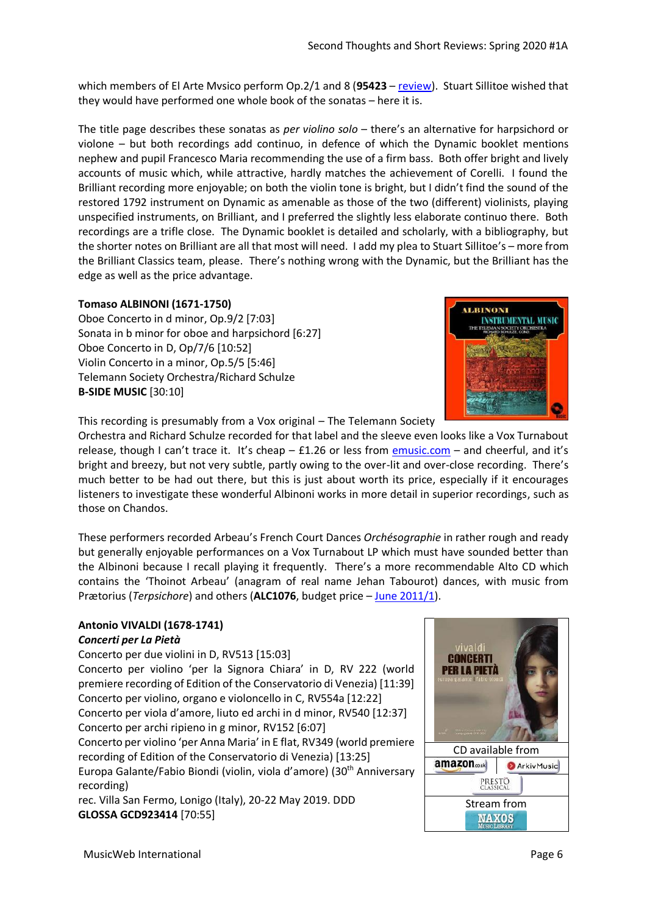which members of El Arte Mvsico perform Op.2/1 and 8 (**95423** – [review\)](http://www.musicweb-international.com/classrev/2017/Mar/Veracini_sonatas_95423.htm). Stuart Sillitoe wished that they would have performed one whole book of the sonatas – here it is.

The title page describes these sonatas as *per violino solo* – there's an alternative for harpsichord or violone – but both recordings add continuo, in defence of which the Dynamic booklet mentions nephew and pupil Francesco Maria recommending the use of a firm bass. Both offer bright and lively accounts of music which, while attractive, hardly matches the achievement of Corelli. I found the Brilliant recording more enjoyable; on both the violin tone is bright, but I didn't find the sound of the restored 1792 instrument on Dynamic as amenable as those of the two (different) violinists, playing unspecified instruments, on Brilliant, and I preferred the slightly less elaborate continuo there. Both recordings are a trifle close. The Dynamic booklet is detailed and scholarly, with a bibliography, but the shorter notes on Brilliant are all that most will need. I add my plea to Stuart Sillitoe's – more from the Brilliant Classics team, please. There's nothing wrong with the Dynamic, but the Brilliant has the edge as well as the price advantage.

# **Tomaso ALBINONI (1671-1750)**

Oboe Concerto in d minor, Op.9/2 [7:03] Sonata in b minor for oboe and harpsichord [6:27] Oboe Concerto in D, Op/7/6 [10:52] Violin Concerto in a minor, Op.5/5 [5:46] Telemann Society Orchestra/Richard Schulze **B-SIDE MUSIC** [30:10]



This recording is presumably from a Vox original – The Telemann Society

Orchestra and Richard Schulze recorded for that label and the sleeve even looks like a Vox Turnabout release, though I can't trace it. It's cheap - £1.26 or less from [emusic.com](https://www.emusic.com/album/153270506/The-Telemann-Society-Orchestra/Albinoni-Instrumental-Music) - and cheerful, and it's bright and breezy, but not very subtle, partly owing to the over-lit and over-close recording. There's much better to be had out there, but this is just about worth its price, especially if it encourages listeners to investigate these wonderful Albinoni works in more detail in superior recordings, such as those on Chandos.

These performers recorded Arbeau's French Court Dances *Orchésographie* in rather rough and ready but generally enjoyable performances on a Vox Turnabout LP which must have sounded better than the Albinoni because I recall playing it frequently. There's a more recommendable Alto CD which contains the 'Thoinot Arbeau' (anagram of real name Jehan Tabourot) dances, with music from Prætorius (*Terpsichore*) and others (**ALC1076**, budget price – [June 2011/1\)](http://www.musicweb-international.com/classrev/2011/June11/June11_1_DL_Roundup.htm).

#### **Antonio VIVALDI (1678-1741)**  *Concerti per La Pietà*

Concerto per due violini in D, RV513 [15:03] Concerto per violino 'per la Signora Chiara' in D, RV 222 (world premiere recording of Edition of the Conservatorio di Venezia) [11:39] Concerto per violino, organo e violoncello in C, RV554a [12:22] Concerto per viola d'amore, liuto ed archi in d minor, RV540 [12:37] Concerto per archi ripieno in g minor, RV152 [6:07] Concerto per violino 'per Anna Maria' in E flat, RV349 (world premiere recording of Edition of the Conservatorio di Venezia) [13:25] Europa Galante/Fabio Biondi (violin, viola d'amore) (30th Anniversary recording)

rec. Villa San Fermo, Lonigo (Italy), 20-22 May 2019. DDD **GLOSSA GCD923414** [70:55]

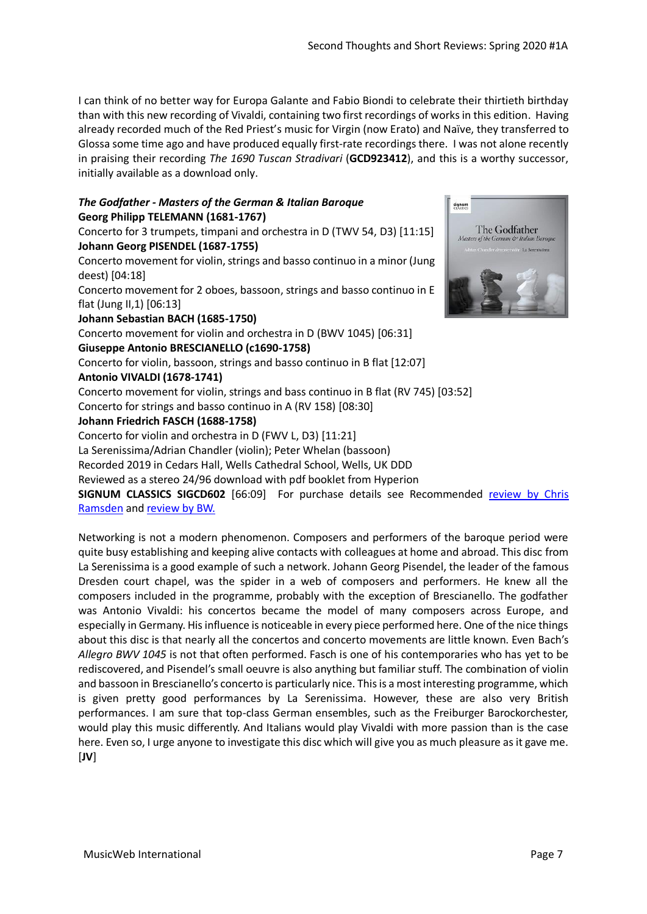I can think of no better way for Europa Galante and Fabio Biondi to celebrate their thirtieth birthday than with this new recording of Vivaldi, containing two first recordings of works in this edition. Having already recorded much of the Red Priest's music for Virgin (now Erato) and Naïve, they transferred to Glossa some time ago and have produced equally first-rate recordings there. I was not alone recently in praising their recording *The 1690 Tuscan Stradivari* (**GCD923412**), and this is a worthy successor, initially available as a download only.

# *The Godfather - Masters of the German & Italian Baroque* **Georg Philipp TELEMANN (1681-1767)**

Concerto for 3 trumpets, timpani and orchestra in D (TWV 54, D3) [11:15] **Johann Georg PISENDEL (1687-1755)**

Concerto movement for violin, strings and basso continuo in a minor (Jung deest) [04:18]

Concerto movement for 2 oboes, bassoon, strings and basso continuo in E flat (Jung II,1) [06:13]

**Johann Sebastian BACH (1685-1750)**

Concerto movement for violin and orchestra in D (BWV 1045) [06:31]

# **Giuseppe Antonio BRESCIANELLO (c1690-1758)**

Concerto for violin, bassoon, strings and basso continuo in B flat [12:07]

# **Antonio VIVALDI (1678-1741)**

Concerto movement for violin, strings and bass continuo in B flat (RV 745) [03:52] Concerto for strings and basso continuo in A (RV 158) [08:30]

# **Johann Friedrich FASCH (1688-1758)**

Concerto for violin and orchestra in D (FWV L, D3) [11:21]

La Serenissima/Adrian Chandler (violin); Peter Whelan (bassoon)

Recorded 2019 in Cedars Hall, Wells Cathedral School, Wells, UK DDD

Reviewed as a stereo 24/96 download with pdf booklet from Hyperion

**SIGNUM CLASSICS SIGCD602** [66:09] For purchase details see Recommended [review by Chris](http://www.musicweb-international.com/classrev/2020/Jan/Godfather_SIGCD602.htm)  [Ramsden](http://www.musicweb-international.com/classrev/2020/Jan/Godfather_SIGCD602.htm) and [review by BW.](http://www.musicweb-international.com/classrev/2019/Nov/Telemann_SIGCD602_5552392.htm)

Networking is not a modern phenomenon. Composers and performers of the baroque period were quite busy establishing and keeping alive contacts with colleagues at home and abroad. This disc from La Serenissima is a good example of such a network. Johann Georg Pisendel, the leader of the famous Dresden court chapel, was the spider in a web of composers and performers. He knew all the composers included in the programme, probably with the exception of Brescianello. The godfather was Antonio Vivaldi: his concertos became the model of many composers across Europe, and especially in Germany. His influence is noticeable in every piece performed here. One of the nice things about this disc is that nearly all the concertos and concerto movements are little known. Even Bach's *Allegro BWV 1045* is not that often performed. Fasch is one of his contemporaries who has yet to be rediscovered, and Pisendel's small oeuvre is also anything but familiar stuff. The combination of violin and bassoon in Brescianello's concerto is particularly nice. This is a most interesting programme, which is given pretty good performances by La Serenissima. However, these are also very British performances. I am sure that top-class German ensembles, such as the Freiburger Barockorchester, would play this music differently. And Italians would play Vivaldi with more passion than is the case here. Even so, I urge anyone to investigate this disc which will give you as much pleasure as it gave me. [**JV**]

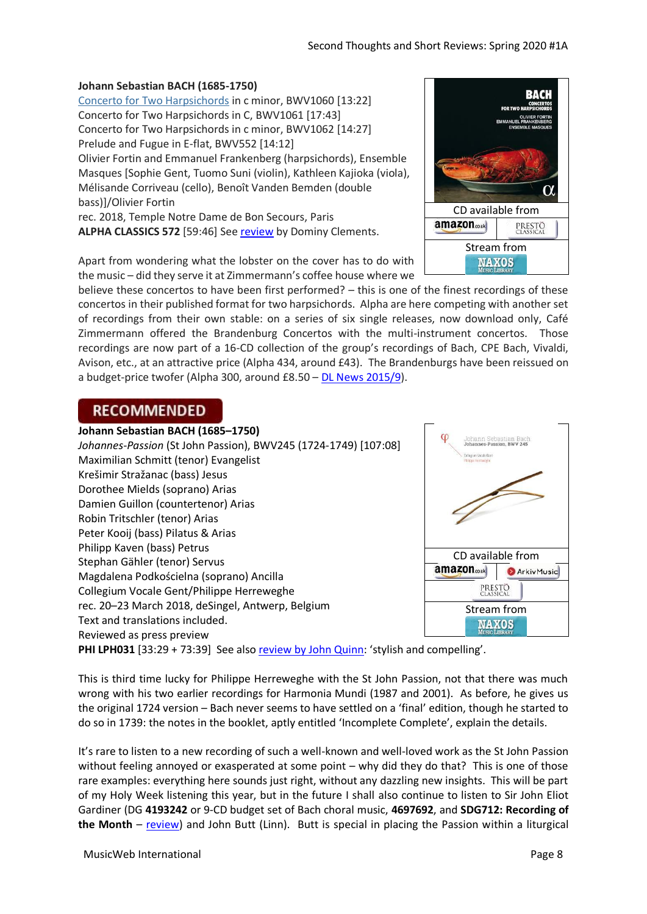#### **Johann Sebastian BACH (1685-1750)**

[Concerto for Two Harpsichords](http://www.musicweb-international.com/mwork_index/jsb_kybd.htm) in c minor, BWV1060 [13:22] Concerto for Two Harpsichords in C, BWV1061 [17:43] Concerto for Two Harpsichords in c minor, BWV1062 [14:27] Prelude and Fugue in E-flat, BWV552 [14:12] Olivier Fortin and Emmanuel Frankenberg (harpsichords), Ensemble Masques [Sophie Gent, Tuomo Suni (violin), Kathleen Kajioka (viola), Mélisande Corriveau (cello), Benoît Vanden Bemden (double bass)]/Olivier Fortin rec. 2018, Temple Notre Dame de Bon Secours, Paris **ALPHA CLASSICS 572** [59:46] See [review](http://www.musicweb-international.com/classrev/2020/Feb/Bach_concertos_572.htm) by Dominy Clements.

Apart from wondering what the lobster on the cover has to do with the music – did they serve it at Zimmermann's coffee house where we

believe these concertos to have been first performed? – this is one of the finest recordings of these concertos in their published format for two harpsichords. Alpha are here competing with another set of recordings from their own stable: on a series of six single releases, now download only, Café Zimmermann offered the Brandenburg Concertos with the multi-instrument concertos. Those recordings are now part of a 16-CD collection of the group's recordings of Bach, CPE Bach, Vivaldi, Avison, etc., at an attractive price (Alpha 434, around £43). The Brandenburgs have been reissued on a budget-price twofer (Alpha 300, around £8.50 – [DL News 2015/9\)](http://www.musicweb-international.com/classrev/2015/Oct/DL_News_2015_9.htm).

# **RECOMMENDED**



This is third time lucky for Philippe Herreweghe with the St John Passion, not that there was much wrong with his two earlier recordings for Harmonia Mundi (1987 and 2001). As before, he gives us the original 1724 version – Bach never seems to have settled on a 'final' edition, though he started to do so in 1739: the notes in the booklet, aptly entitled 'Incomplete Complete', explain the details.

It's rare to listen to a new recording of such a well-known and well-loved work as the St John Passion without feeling annoyed or exasperated at some point – why did they do that? This is one of those rare examples: everything here sounds just right, without any dazzling new insights. This will be part of my Holy Week listening this year, but in the future I shall also continue to listen to Sir John Eliot Gardiner (DG **4193242** or 9-CD budget set of Bach choral music, **4697692**, and **SDG712: Recording of the Month** – [review\)](http://www.musicweb-international.com/classrev/2011/May11/Bach_stjohn_SDG712.htm) and John Butt (Linn). Butt is special in placing the Passion within a liturgical

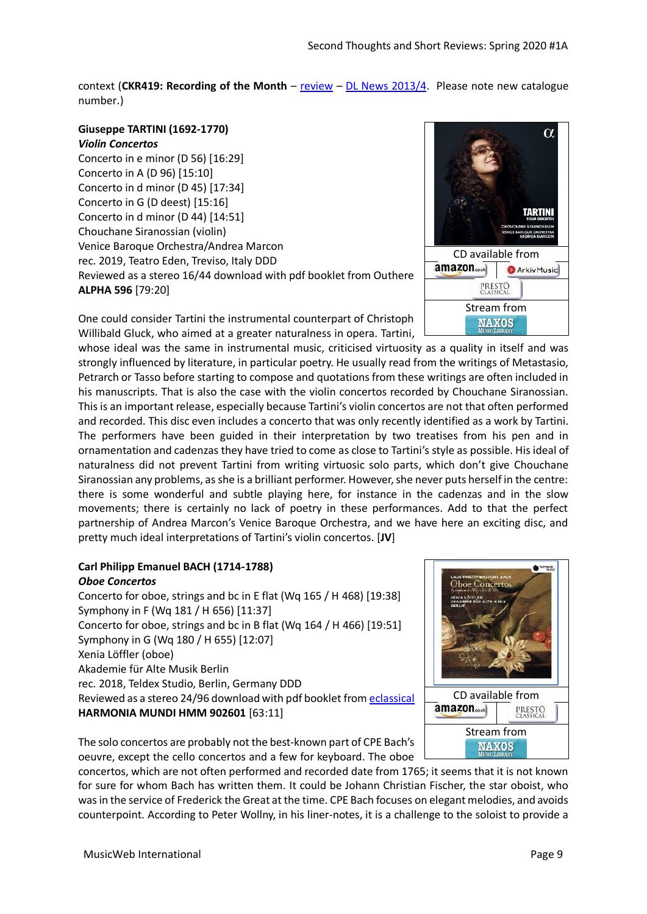context (**CKR419: Recording of the Month** – [review](http://www.musicweb-international.com/classrev/2013/Apr13/Bach_Stjohn_CKD419.htm) – [DL News 2013/4.](http://www.musicweb-international.com/classrev/2013/Mar13/DL_News_2013_4.htm) Please note new catalogue number.)

# **Giuseppe TARTINI (1692-1770)** *Violin Concertos*

Concerto in e minor (D 56) [16:29] Concerto in A (D 96) [15:10] Concerto in d minor (D 45) [17:34] Concerto in G (D deest) [15:16] Concerto in d minor (D 44) [14:51] Chouchane Siranossian (violin) Venice Baroque Orchestra/Andrea Marcon rec. 2019, Teatro Eden, Treviso, Italy DDD Reviewed as a stereo 16/44 download with pdf booklet from Outhere **ALPHA 596** [79:20]

One could consider Tartini the instrumental counterpart of Christoph Willibald Gluck, who aimed at a greater naturalness in opera. Tartini,

whose ideal was the same in instrumental music, criticised virtuosity as a quality in itself and was strongly influenced by literature, in particular poetry. He usually read from the writings of Metastasio, Petrarch or Tasso before starting to compose and quotations from these writings are often included in his manuscripts. That is also the case with the violin concertos recorded by Chouchane Siranossian. This is an important release, especially because Tartini's violin concertos are not that often performed and recorded. This disc even includes a concerto that was only recently identified as a work by Tartini. The performers have been guided in their interpretation by two treatises from his pen and in ornamentation and cadenzas they have tried to come as close to Tartini's style as possible. His ideal of naturalness did not prevent Tartini from writing virtuosic solo parts, which don't give Chouchane Siranossian any problems, as she is a brilliant performer. However, she never puts herself in the centre: there is some wonderful and subtle playing here, for instance in the cadenzas and in the slow movements; there is certainly no lack of poetry in these performances. Add to that the perfect partnership of Andrea Marcon's Venice Baroque Orchestra, and we have here an exciting disc, and pretty much ideal interpretations of Tartini's violin concertos. [**JV**]

# **Carl Philipp Emanuel BACH (1714-1788)** *Oboe Concertos*

Concerto for oboe, strings and bc in E flat (Wq 165 / H 468) [19:38] Symphony in F (Wq 181 / H 656) [11:37] Concerto for oboe, strings and bc in B flat (Wq 164 / H 466) [19:51] Symphony in G (Wq 180 / H 655) [12:07] Xenia Löffler (oboe) Akademie für Alte Musik Berlin rec. 2018, Teldex Studio, Berlin, Germany DDD Reviewed as a stereo 24/96 download with pdf booklet from [eclassical](https://www.eclassical.com/harmonia-mundi/cpe-bach-oboe-concertos.html) **HARMONIA MUNDI HMM 902601** [63:11]

The solo concertos are probably not the best-known part of CPE Bach's oeuvre, except the cello concertos and a few for keyboard. The oboe

concertos, which are not often performed and recorded date from 1765; it seems that it is not known for sure for whom Bach has written them. It could be Johann Christian Fischer, the star oboist, who was in the service of Frederick the Great at the time. CPE Bach focuses on elegant melodies, and avoids counterpoint. According to Peter Wollny, in his liner-notes, it is a challenge to the soloist to provide a



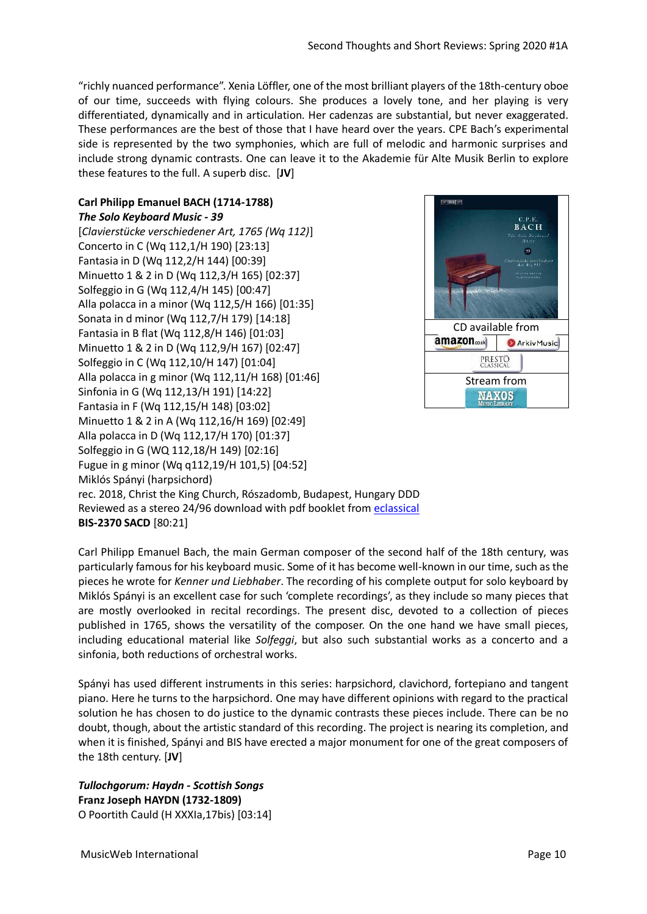"richly nuanced performance". Xenia Löffler, one of the most brilliant players of the 18th-century oboe of our time, succeeds with flying colours. She produces a lovely tone, and her playing is very differentiated, dynamically and in articulation. Her cadenzas are substantial, but never exaggerated. These performances are the best of those that I have heard over the years. CPE Bach's experimental side is represented by the two symphonies, which are full of melodic and harmonic surprises and include strong dynamic contrasts. One can leave it to the Akademie für Alte Musik Berlin to explore these features to the full. A superb disc. [**JV**]

#### **Carl Philipp Emanuel BACH (1714-1788)** *The Solo Keyboard Music - 39*

[*Clavierstücke verschiedener Art, 1765 (Wq 112)*] Concerto in C (Wq 112,1/H 190) [23:13] Fantasia in D (Wq 112,2/H 144) [00:39] Minuetto 1 & 2 in D (Wq 112,3/H 165) [02:37] Solfeggio in G (Wq 112,4/H 145) [00:47] Alla polacca in a minor (Wq 112,5/H 166) [01:35] Sonata in d minor (Wq 112,7/H 179) [14:18] Fantasia in B flat (Wq 112,8/H 146) [01:03] Minuetto 1 & 2 in D (Wq 112,9/H 167) [02:47] Solfeggio in C (Wq 112,10/H 147) [01:04] Alla polacca in g minor (Wq 112,11/H 168) [01:46] Sinfonia in G (Wq 112,13/H 191) [14:22] Fantasia in F (Wq 112,15/H 148) [03:02] Minuetto 1 & 2 in A (Wq 112,16/H 169) [02:49] Alla polacca in D (Wq 112,17/H 170) [01:37] Solfeggio in G (WQ 112,18/H 149) [02:16] Fugue in g minor (Wq q112,19/H 101,5) [04:52] Miklós Spányi (harpsichord) rec. 2018, Christ the King Church, Rószadomb, Budapest, Hungary DDD Reviewed as a stereo 24/96 download with pdf booklet from [eclassical](https://www.eclassical.com/performers/spanyi-miklos/bis2370.html) **BIS-2370 SACD** [80:21]

**BACH**  $60$ CD available from amazon.... **ArkivMusic** PRESTO<br>CLASSICAL [Stream from](https://www.nml3.naxosmusiclibrary.com/catalogue/BIS-2370)**NAXOS** 

Carl Philipp Emanuel Bach, the main German composer of the second half of the 18th century, was particularly famous for his keyboard music. Some of it has become well-known in our time, such as the pieces he wrote for *Kenner und Liebhaber*. The recording of his complete output for solo keyboard by Miklós Spányi is an excellent case for such 'complete recordings', as they include so many pieces that are mostly overlooked in recital recordings. The present disc, devoted to a collection of pieces published in 1765, shows the versatility of the composer. On the one hand we have small pieces, including educational material like *Solfeggi*, but also such substantial works as a concerto and a sinfonia, both reductions of orchestral works.

Spányi has used different instruments in this series: harpsichord, clavichord, fortepiano and tangent piano. Here he turns to the harpsichord. One may have different opinions with regard to the practical solution he has chosen to do justice to the dynamic contrasts these pieces include. There can be no doubt, though, about the artistic standard of this recording. The project is nearing its completion, and when it is finished, Spányi and BIS have erected a major monument for one of the great composers of the 18th century. [**JV**]

*Tullochgorum: Haydn - Scottish Songs* **Franz Joseph HAYDN (1732-1809)** O Poortith Cauld (H XXXIa,17bis) [03:14]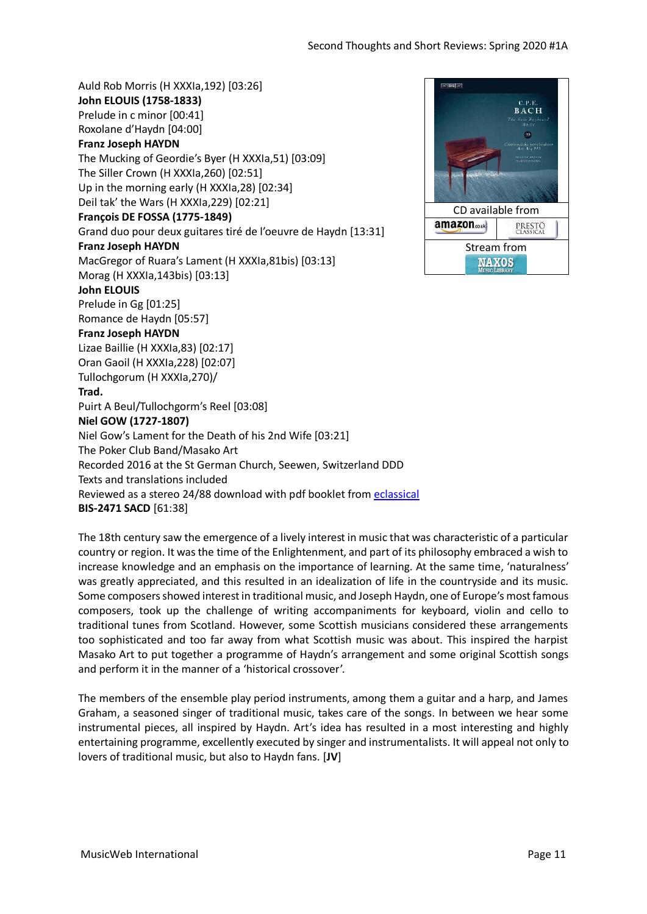Auld Rob Morris (H XXXIa,192) [03:26] **John ELOUIS (1758-1833)** Prelude in c minor [00:41] Roxolane d'Haydn [04:00] **Franz Joseph HAYDN** The Mucking of Geordie's Byer (H XXXIa,51) [03:09] The Siller Crown (H XXXIa,260) [02:51] Up in the morning early (H XXXIa,28) [02:34] Deil tak' the Wars (H XXXIa,229) [02:21] **François DE FOSSA (1775-1849)** Grand duo pour deux guitares tiré de l'oeuvre de Haydn [13:31] **Franz Joseph HAYDN** MacGregor of Ruara's Lament (H XXXIa,81bis) [03:13] Morag (H XXXIa,143bis) [03:13] **John ELOUIS** Prelude in Gg [01:25] Romance de Haydn [05:57] **Franz Joseph HAYDN** Lizae Baillie (H XXXIa,83) [02:17] Oran Gaoil (H XXXIa,228) [02:07] Tullochgorum (H XXXIa,270)/ **Trad.** Puirt A Beul/Tullochgorm's Reel [03:08] **Niel GOW (1727-1807)** Niel Gow's Lament for the Death of his 2nd Wife [03:21] The Poker Club Band/Masako Art Recorded 2016 at the St German Church, Seewen, Switzerland DDD Texts and translations included Reviewed as a stereo 24/88 download with pdf booklet from [eclassical](https://www.eclassical.com/tullochgorum-haydn-scottish-songs.html) **BIS-2471 SACD** [61:38]



The 18th century saw the emergence of a lively interest in music that was characteristic of a particular country or region. It was the time of the Enlightenment, and part of its philosophy embraced a wish to increase knowledge and an emphasis on the importance of learning. At the same time, 'naturalness' was greatly appreciated, and this resulted in an idealization of life in the countryside and its music. Some composers showed interest in traditional music, and Joseph Haydn, one of Europe's most famous composers, took up the challenge of writing accompaniments for keyboard, violin and cello to traditional tunes from Scotland. However, some Scottish musicians considered these arrangements too sophisticated and too far away from what Scottish music was about. This inspired the harpist Masako Art to put together a programme of Haydn's arrangement and some original Scottish songs and perform it in the manner of a 'historical crossover'.

The members of the ensemble play period instruments, among them a guitar and a harp, and James Graham, a seasoned singer of traditional music, takes care of the songs. In between we hear some instrumental pieces, all inspired by Haydn. Art's idea has resulted in a most interesting and highly entertaining programme, excellently executed by singer and instrumentalists. It will appeal not only to lovers of traditional music, but also to Haydn fans. [**JV**]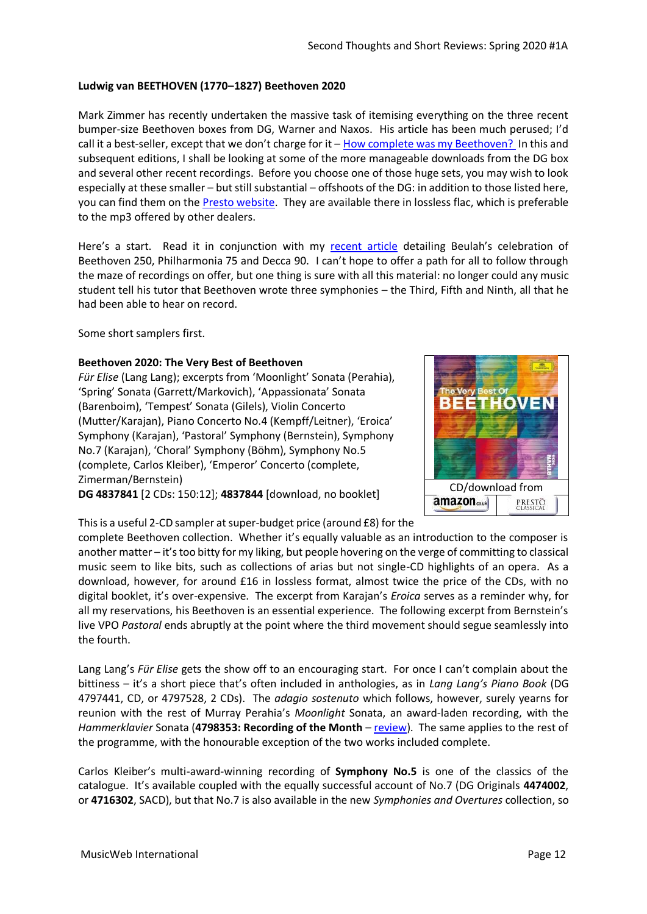#### **Ludwig van BEETHOVEN (1770–1827) Beethoven 2020**

Mark Zimmer has recently undertaken the massive task of itemising everything on the three recent bumper-size Beethoven boxes from DG, Warner and Naxos. His article has been much perused; I'd call it a best-seller, except that we don't charge for it – [How complete was my Beethoven?](http://musicweb-international.com/classrev/2020/Jan/Beethoven250.htm) In this and subsequent editions, I shall be looking at some of the more manageable downloads from the DG box and several other recent recordings. Before you choose one of those huge sets, you may wish to look especially at these smaller – but still substantial – offshoots of the DG: in addition to those listed here, you can find them on th[e Presto website.](https://www.prestomusic.com/classical/search?search_query=Beethoven+2020+DG) They are available there in lossless flac, which is preferable to the mp3 offered by other dealers.

Here's a start. Read it in conjunction with my [recent article](http://musicweb-international.com/classrev/2020/Mar/Beethoven_250_Beulah.pdf) detailing Beulah's celebration of Beethoven 250, Philharmonia 75 and Decca 90. I can't hope to offer a path for all to follow through the maze of recordings on offer, but one thing is sure with all this material: no longer could any music student tell his tutor that Beethoven wrote three symphonies – the Third, Fifth and Ninth, all that he had been able to hear on record.

Some short samplers first.

#### **Beethoven 2020: The Very Best of Beethoven**

*Für Elise* (Lang Lang); excerpts from 'Moonlight' Sonata (Perahia), 'Spring' Sonata (Garrett/Markovich), 'Appassionata' Sonata (Barenboim), 'Tempest' Sonata (Gilels), Violin Concerto (Mutter/Karajan), Piano Concerto No.4 (Kempff/Leitner), 'Eroica' Symphony (Karajan), 'Pastoral' Symphony (Bernstein), Symphony No.7 (Karajan), 'Choral' Symphony (Böhm), Symphony No.5 (complete, Carlos Kleiber), 'Emperor' Concerto (complete, Zimerman/Bernstein)

**DG 4837841** [2 CDs: 150:12]; **4837844** [download, no booklet]



This is a useful 2-CD sampler at super-budget price (around £8) for the

complete Beethoven collection. Whether it's equally valuable as an introduction to the composer is another matter – it's too bitty for my liking, but people hovering on the verge of committing to classical music seem to like bits, such as collections of arias but not single-CD highlights of an opera. As a download, however, for around £16 in lossless format, almost twice the price of the CDs, with no digital booklet, it's over-expensive. The excerpt from Karajan's *Eroica* serves as a reminder why, for all my reservations, his Beethoven is an essential experience. The following excerpt from Bernstein's live VPO *Pastoral* ends abruptly at the point where the third movement should segue seamlessly into the fourth.

Lang Lang's *Für Elise* gets the show off to an encouraging start. For once I can't complain about the bittiness – it's a short piece that's often included in anthologies, as in *Lang Lang's Piano Book* (DG 4797441, CD, or 4797528, 2 CDs). The *adagio sostenuto* which follows, however, surely yearns for reunion with the rest of Murray Perahia's *Moonlight* Sonata, an award-laden recording, with the *Hammerklavier* Sonata (**4798353: Recording of the Month** – [review\)](http://www.musicweb-international.com/classrev/2018/Mar/Beethoven_Perahia_4798353.htm). The same applies to the rest of the programme, with the honourable exception of the two works included complete.

Carlos Kleiber's multi-award-winning recording of **Symphony No.5** is one of the classics of the catalogue. It's available coupled with the equally successful account of No.7 (DG Originals **4474002**, or **4716302**, SACD), but that No.7 is also available in the new *Symphonies and Overtures* collection, so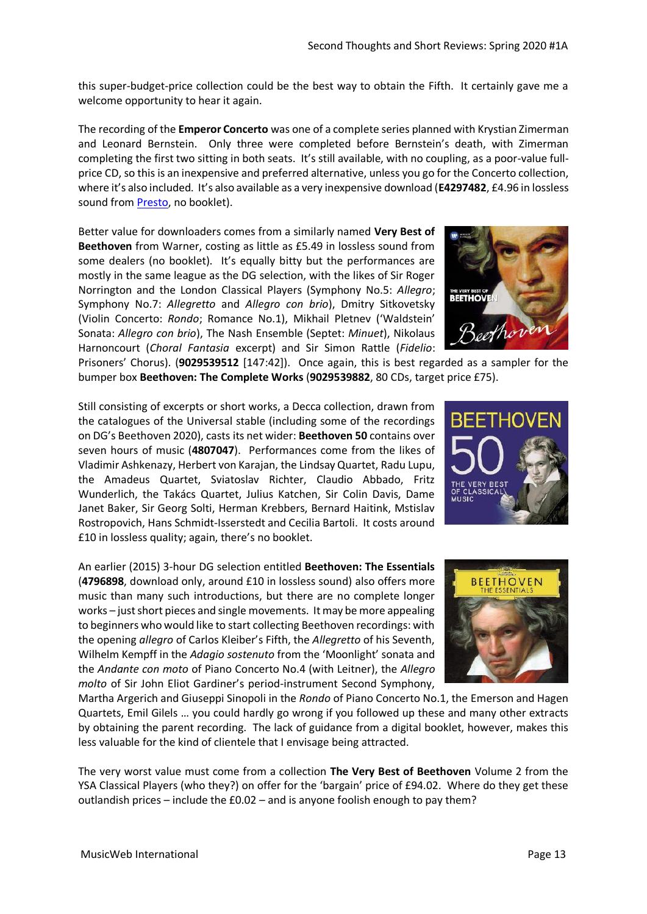this super-budget-price collection could be the best way to obtain the Fifth. It certainly gave me a welcome opportunity to hear it again.

The recording of the **Emperor Concerto** was one of a complete series planned with Krystian Zimerman and Leonard Bernstein. Only three were completed before Bernstein's death, with Zimerman completing the first two sitting in both seats. It's still available, with no coupling, as a poor-value fullprice CD, so this is an inexpensive and preferred alternative, unless you go for the Concerto collection, where it's also included. It's also available as a very inexpensive download (**E4297482**, £4.96 in lossless sound from [Presto,](https://www.prestomusic.com/classical/products/7941371--beethoven-piano-concerto-no-5-in-e-flat-major-op-73-emperor) no booklet).

Better value for downloaders comes from a similarly named **Very Best of Beethoven** from Warner, costing as little as £5.49 in lossless sound from some dealers (no booklet). It's equally bitty but the performances are mostly in the same league as the DG selection, with the likes of Sir Roger Norrington and the London Classical Players (Symphony No.5: *Allegro*; Symphony No.7: *Allegretto* and *Allegro con brio*), Dmitry Sitkovetsky (Violin Concerto: *Rondo*; Romance No.1), Mikhail Pletnev ('Waldstein' Sonata: *Allegro con brio*), The Nash Ensemble (Septet: *Minuet*), Nikolaus Harnoncourt (*Choral Fantasia* excerpt) and Sir Simon Rattle (*Fidelio*:



Prisoners' Chorus). (**9029539512** [147:42]). Once again, this is best regarded as a sampler for the bumper box **Beethoven: The Complete Works** (**9029539882**, 80 CDs, target price £75).

Still consisting of excerpts or short works, a Decca collection, drawn from the catalogues of the Universal stable (including some of the recordings on DG's Beethoven 2020), casts its net wider: **Beethoven 50** contains over seven hours of music (**4807047**). Performances come from the likes of Vladimir Ashkenazy, Herbert von Karajan, the Lindsay Quartet, Radu Lupu, the Amadeus Quartet, Sviatoslav Richter, Claudio Abbado, Fritz Wunderlich, the Takács Quartet, Julius Katchen, Sir Colin Davis, Dame Janet Baker, Sir Georg Solti, Herman Krebbers, Bernard Haitink, Mstislav Rostropovich, Hans Schmidt-Isserstedt and Cecilia Bartoli. It costs around £10 in lossless quality; again, there's no booklet.

An earlier (2015) 3-hour DG selection entitled **Beethoven: The Essentials** (**4796898**, download only, around £10 in lossless sound) also offers more music than many such introductions, but there are no complete longer works – just short pieces and single movements. It may be more appealing to beginners who would like to start collecting Beethoven recordings: with the opening *allegro* of Carlos Kleiber's Fifth, the *Allegretto* of his Seventh, Wilhelm Kempff in the *Adagio sostenuto* from the 'Moonlight' sonata and the *Andante con moto* of Piano Concerto No.4 (with Leitner), the *Allegro molto* of Sir John Eliot Gardiner's period-instrument Second Symphony,



The very worst value must come from a collection **The Very Best of Beethoven** Volume 2 from the YSA Classical Players (who they?) on offer for the 'bargain' price of £94.02. Where do they get these outlandish prices – include the £0.02 – and is anyone foolish enough to pay them?



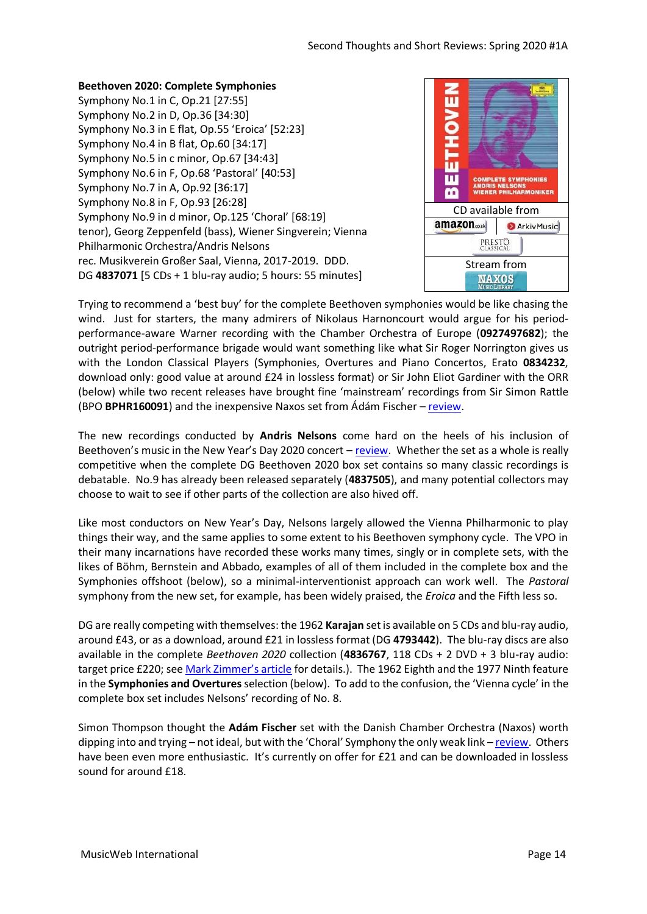#### **Beethoven 2020: Complete Symphonies**

Symphony No.1 in C, Op.21 [27:55] Symphony No.2 in D, Op.36 [34:30] Symphony No.3 in E flat, Op.55 'Eroica' [52:23] Symphony No.4 in B flat, Op.60 [34:17] Symphony No.5 in c minor, Op.67 [34:43] Symphony No.6 in F, Op.68 'Pastoral' [40:53] Symphony No.7 in A, Op.92 [36:17] Symphony No.8 in F, Op.93 [26:28] Symphony No.9 in d minor, Op.125 'Choral' [68:19] tenor), Georg Zeppenfeld (bass), Wiener Singverein; Vienna Philharmonic Orchestra/Andris Nelsons rec. Musikverein Großer Saal, Vienna, 2017-2019. DDD. DG **4837071** [5 CDs + 1 blu-ray audio; 5 hours: 55 minutes]



Trying to recommend a 'best buy' for the complete Beethoven symphonies would be like chasing the wind. Just for starters, the many admirers of Nikolaus Harnoncourt would argue for his periodperformance-aware Warner recording with the Chamber Orchestra of Europe (**0927497682**); the outright period-performance brigade would want something like what Sir Roger Norrington gives us with the London Classical Players (Symphonies, Overtures and Piano Concertos, Erato **0834232**, download only: good value at around £24 in lossless format) or Sir John Eliot Gardiner with the ORR (below) while two recent releases have brought fine 'mainstream' recordings from Sir Simon Rattle (BPO **BPHR160091**) and the inexpensive Naxos set from Ádám Fischer – [review.](http://www.musicweb-international.com/classrev/2019/Dec/Beethoven_sys_8505251.htm)

The new recordings conducted by **Andris Nelsons** come hard on the heels of his inclusion of Beethoven's music in the New Year's Day 2020 concert – [review.](http://www.musicweb-international.com/classrev/2020/Mar/New_year_2020_19439702362.htm) Whether the set as a whole is really competitive when the complete DG Beethoven 2020 box set contains so many classic recordings is debatable. No.9 has already been released separately (**4837505**), and many potential collectors may choose to wait to see if other parts of the collection are also hived off.

Like most conductors on New Year's Day, Nelsons largely allowed the Vienna Philharmonic to play things their way, and the same applies to some extent to his Beethoven symphony cycle. The VPO in their many incarnations have recorded these works many times, singly or in complete sets, with the likes of Böhm, Bernstein and Abbado, examples of all of them included in the complete box and the Symphonies offshoot (below), so a minimal-interventionist approach can work well. The *Pastoral* symphony from the new set, for example, has been widely praised, the *Eroica* and the Fifth less so.

DG are really competing with themselves: the 1962 **Karajan** setis available on 5 CDs and blu-ray audio, around £43, or as a download, around £21 in lossless format (DG **4793442**). The blu-ray discs are also available in the complete *Beethoven 2020* collection (**4836767**, 118 CDs + 2 DVD + 3 blu-ray audio: target price £220; see M[ark Zimmer's article](http://musicweb-international.com/classrev/2020/Jan/Beethoven250.htm) for details.). The 1962 Eighth and the 1977 Ninth feature in the **Symphonies and Overtures** selection (below). To add to the confusion, the 'Vienna cycle' in the complete box set includes Nelsons' recording of No. 8.

Simon Thompson thought the **Adám Fischer** set with the Danish Chamber Orchestra (Naxos) worth dipping into and trying – not ideal, but with the 'Choral' Symphony the only weak link – [review.](http://musicweb-international.com/classrev/2019/dec/Beethoven_sys_8505251.htm) Others have been even more enthusiastic. It's currently on offer for £21 and can be downloaded in lossless sound for around £18.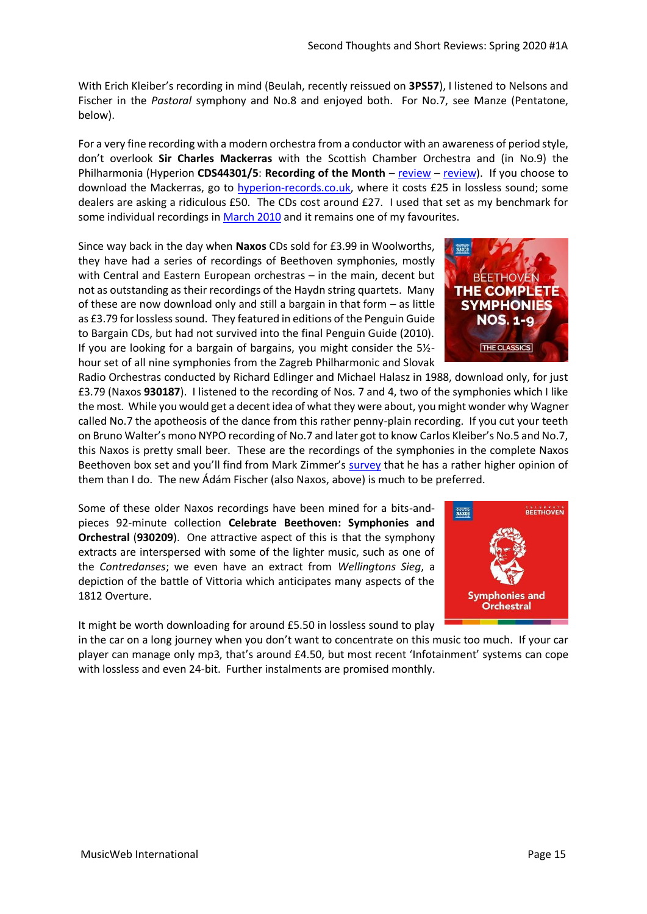With Erich Kleiber's recording in mind (Beulah, recently reissued on **3PS57**), I listened to Nelsons and Fischer in the *Pastoral* symphony and No.8 and enjoyed both. For No.7, see Manze (Pentatone, below).

For a very fine recording with a modern orchestra from a conductor with an awareness of period style, don't overlook **Sir Charles Mackerras** with the Scottish Chamber Orchestra and (in No.9) the Philharmonia (Hyperion **CDS44301/5**: **Recording of the Month** – [review](http://www.musicweb-international.com/classrev/2008/May08/Beethoven_Mackerras_cds44301.htm) – [review\)](http://www.musicweb-international.com/classrev/2008/June08/Beethoven_Mackerras_cds44301.htm). If you choose to download the Mackerras, go to [hyperion-records.co.uk,](https://www.hyperion-records.co.uk/dc.asp?dc=D_CDS44301/5) where it costs £25 in lossless sound; some dealers are asking a ridiculous £50. The CDs cost around £27. I used that set as my benchmark for some individual recordings i[n March 2010](http://www.musicweb-international.com/classrev/2010/Mar10/March_Download_Roundup.htm) and it remains one of my favourites.

Since way back in the day when **Naxos** CDs sold for £3.99 in Woolworths, they have had a series of recordings of Beethoven symphonies, mostly with Central and Eastern European orchestras – in the main, decent but not as outstanding as their recordings of the Haydn string quartets. Many of these are now download only and still a bargain in that form – as little as £3.79 for lossless sound. They featured in editions of the Penguin Guide to Bargain CDs, but had not survived into the final Penguin Guide (2010). If you are looking for a bargain of bargains, you might consider the 5½ hour set of all nine symphonies from the Zagreb Philharmonic and Slovak

Radio Orchestras conducted by Richard Edlinger and Michael Halasz in 1988, download only, for just £3.79 (Naxos **930187**). I listened to the recording of Nos. 7 and 4, two of the symphonies which I like the most. While you would get a decent idea of what they were about, you might wonder why Wagner called No.7 the apotheosis of the dance from this rather penny-plain recording. If you cut your teeth on Bruno Walter's mono NYPO recording of No.7 and later got to know Carlos Kleiber's No.5 and No.7, this Naxos is pretty small beer. These are the recordings of the symphonies in the complete Naxos Beethoven box set and you'll find from Mark Zimmer's [survey](http://www.musicweb-international.com/classrev/2020/Jan/Beethoven250.htm) that he has a rather higher opinion of them than I do. The new Ádám Fischer (also Naxos, above) is much to be preferred.

Some of these older Naxos recordings have been mined for a bits-andpieces 92-minute collection **Celebrate Beethoven: Symphonies and Orchestral** (**930209**). One attractive aspect of this is that the symphony extracts are interspersed with some of the lighter music, such as one of the *Contredanses*; we even have an extract from *Wellingtons Sieg*, a depiction of the battle of Vittoria which anticipates many aspects of the 1812 Overture.

It might be worth downloading for around £5.50 in lossless sound to play

in the car on a long journey when you don't want to concentrate on this music too much. If your car player can manage only mp3, that's around £4.50, but most recent 'Infotainment' systems can cope with lossless and even 24-bit. Further instalments are promised monthly.



**Orchestral** 

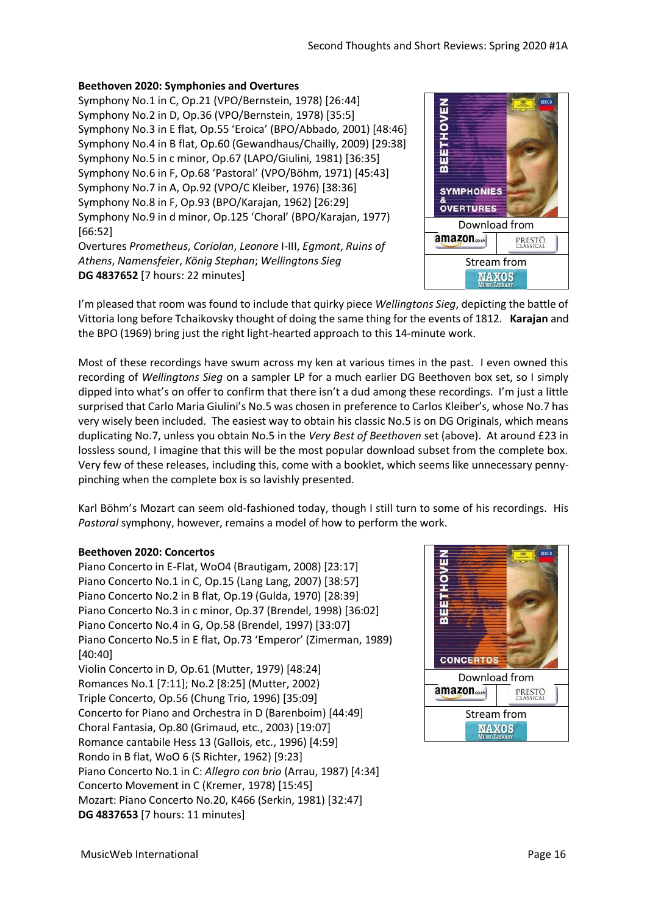# **Beethoven 2020: Symphonies and Overtures**

Symphony No.1 in C, Op.21 (VPO/Bernstein, 1978) [26:44] Symphony No.2 in D, Op.36 (VPO/Bernstein, 1978) [35:5] Symphony No.3 in E flat, Op.55 'Eroica' (BPO/Abbado, 2001) [48:46] Symphony No.4 in B flat, Op.60 (Gewandhaus/Chailly, 2009) [29:38] Symphony No.5 in c minor, Op.67 (LAPO/Giulini, 1981) [36:35] Symphony No.6 in F, Op.68 'Pastoral' (VPO/Böhm, 1971) [45:43] Symphony No.7 in A, Op.92 (VPO/C Kleiber, 1976) [38:36] Symphony No.8 in F, Op.93 (BPO/Karajan, 1962) [26:29] Symphony No.9 in d minor, Op.125 'Choral' (BPO/Karajan, 1977) [66:52]

Overtures *Prometheus*, *Coriolan*, *Leonore* I-III, *Egmont*, *Ruins of Athens*, *Namensfeier*, *König Stephan*; *Wellingtons Sieg* **DG 4837652** [7 hours: 22 minutes]



I'm pleased that room was found to include that quirky piece *Wellingtons Sieg*, depicting the battle of Vittoria long before Tchaikovsky thought of doing the same thing for the events of 1812. **Karajan** and the BPO (1969) bring just the right light-hearted approach to this 14-minute work.

Most of these recordings have swum across my ken at various times in the past. I even owned this recording of *Wellingtons Sieg* on a sampler LP for a much earlier DG Beethoven box set, so I simply dipped into what's on offer to confirm that there isn't a dud among these recordings. I'm just a little surprised that Carlo Maria Giulini's No.5 was chosen in preference to Carlos Kleiber's, whose No.7 has very wisely been included. The easiest way to obtain his classic No.5 is on DG Originals, which means duplicating No.7, unless you obtain No.5 in the *Very Best of Beethoven* set (above). At around £23 in lossless sound, I imagine that this will be the most popular download subset from the complete box. Very few of these releases, including this, come with a booklet, which seems like unnecessary pennypinching when the complete box is so lavishly presented.

Karl Böhm's Mozart can seem old-fashioned today, though I still turn to some of his recordings. His *Pastoral* symphony, however, remains a model of how to perform the work.

#### **Beethoven 2020: Concertos**

Piano Concerto in E-Flat, WoO4 (Brautigam, 2008) [23:17] Piano Concerto No.1 in C, Op.15 (Lang Lang, 2007) [38:57] Piano Concerto No.2 in B flat, Op.19 (Gulda, 1970) [28:39] Piano Concerto No.3 in c minor, Op.37 (Brendel, 1998) [36:02] Piano Concerto No.4 in G, Op.58 (Brendel, 1997) [33:07] Piano Concerto No.5 in E flat, Op.73 'Emperor' (Zimerman, 1989) [40:40] Violin Concerto in D, Op.61 (Mutter, 1979) [48:24] Romances No.1 [7:11]; No.2 [8:25] (Mutter, 2002) Triple Concerto, Op.56 (Chung Trio, 1996) [35:09] Concerto for Piano and Orchestra in D (Barenboim) [44:49] Choral Fantasia, Op.80 (Grimaud, etc., 2003) [19:07] Romance cantabile Hess 13 (Gallois, etc., 1996) [4:59] Rondo in B flat, WoO 6 (S Richter, 1962) [9:23] Piano Concerto No.1 in C: *Allegro con brio* (Arrau, 1987) [4:34] Concerto Movement in C (Kremer, 1978) [15:45] Mozart: Piano Concerto No.20, K466 (Serkin, 1981) [32:47] **DG 4837653** [7 hours: 11 minutes]

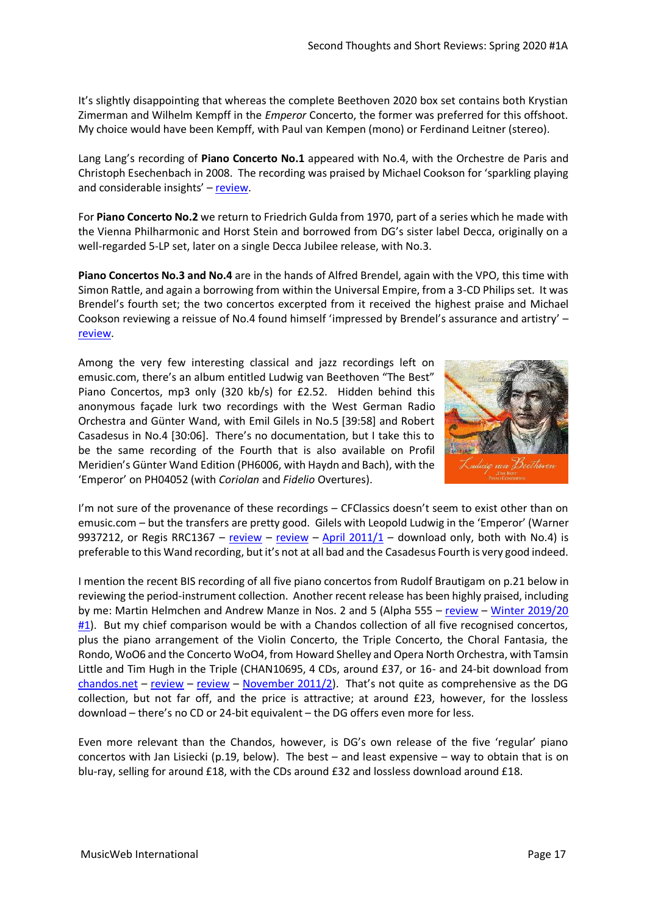It's slightly disappointing that whereas the complete Beethoven 2020 box set contains both Krystian Zimerman and Wilhelm Kempff in the *Emperor* Concerto, the former was preferred for this offshoot. My choice would have been Kempff, with Paul van Kempen (mono) or Ferdinand Leitner (stereo).

Lang Lang's recording of **Piano Concerto No.1** appeared with No.4, with the Orchestre de Paris and Christoph Esechenbach in 2008. The recording was praised by Michael Cookson for 'sparkling playing and considerable insights' – [review.](http://www.musicweb-international.com/classrev/2007/Nov07/Beethoven_langLang_4776719.htm)

For **Piano Concerto No.2** we return to Friedrich Gulda from 1970, part of a series which he made with the Vienna Philharmonic and Horst Stein and borrowed from DG's sister label Decca, originally on a well-regarded 5-LP set, later on a single Decca Jubilee release, with No.3.

**Piano Concertos No.3 and No.4** are in the hands of Alfred Brendel, again with the VPO, this time with Simon Rattle, and again a borrowing from within the Universal Empire, from a 3-CD Philips set. It was Brendel's fourth set; the two concertos excerpted from it received the highest praise and Michael Cookson reviewing a reissue of No.4 found himself 'impressed by Brendel's assurance and artistry' – [review.](http://www.musicweb-international.com/classrev/2006/Mar06/Brendel_Celebration_47571824757185.htm)

Among the very few interesting classical and jazz recordings left on emusic.com, there's an album entitled Ludwig van Beethoven "The Best" Piano Concertos, mp3 only (320 kb/s) for £2.52. Hidden behind this anonymous façade lurk two recordings with the West German Radio Orchestra and Günter Wand, with Emil Gilels in No.5 [39:58] and Robert Casadesus in No.4 [30:06]. There's no documentation, but I take this to be the same recording of the Fourth that is also available on Profil Meridien's Günter Wand Edition (PH6006, with Haydn and Bach), with the 'Emperor' on PH04052 (with *Coriolan* and *Fidelio* Overtures).



I'm not sure of the provenance of these recordings – CFClassics doesn't seem to exist other than on emusic.com – but the transfers are pretty good. Gilels with Leopold Ludwig in the 'Emperor' (Warner 9937212, or Regis RRC1367 – [review](http://www.musicweb-international.com/classrev/2011/Aug11/Beethoven_Emperor_RRC1367.htm) – review – April  $2011/1$  – download only, both with No.4) is preferable to this Wand recording, but it's not at all bad and the Casadesus Fourth is very good indeed.

I mention the recent BIS recording of all five piano concertos from Rudolf Brautigam on p.21 below in reviewing the period-instrument collection. Another recent release has been highly praised, including by me: Martin Helmchen and Andrew Manze in Nos. 2 and 5 (Alpha 555 – [review](http://www.musicweb-international.com/classrev/2020/Jan/Beethoven_PCs_555.htm) – Winter 2019/20 [#1\)](http://www.musicweb-international.com/classrev/2019/Dec/Winter_2019_1.pdf). But my chief comparison would be with a Chandos collection of all five recognised concertos, plus the piano arrangement of the Violin Concerto, the Triple Concerto, the Choral Fantasia, the Rondo, WoO6 and the Concerto WoO4, from Howard Shelley and Opera North Orchestra, with Tamsin Little and Tim Hugh in the Triple (CHAN10695, 4 CDs, around £37, or 16- and 24-bit download from  $chandos.net - review - review - November 2011/2$  $chandos.net - review - review - November 2011/2$  $chandos.net - review - review - November 2011/2$  $chandos.net - review - review - November 2011/2$  $chandos.net - review - review - November 2011/2$ . That's not quite as comprehensive as the DG collection, but not far off, and the price is attractive; at around £23, however, for the lossless download – there's no CD or 24-bit equivalent – the DG offers even more for less.

Even more relevant than the Chandos, however, is DG's own release of the five 'regular' piano concertos with Jan Lisiecki (p.19, below). The best – and least expensive – way to obtain that is on blu-ray, selling for around £18, with the CDs around £32 and lossless download around £18.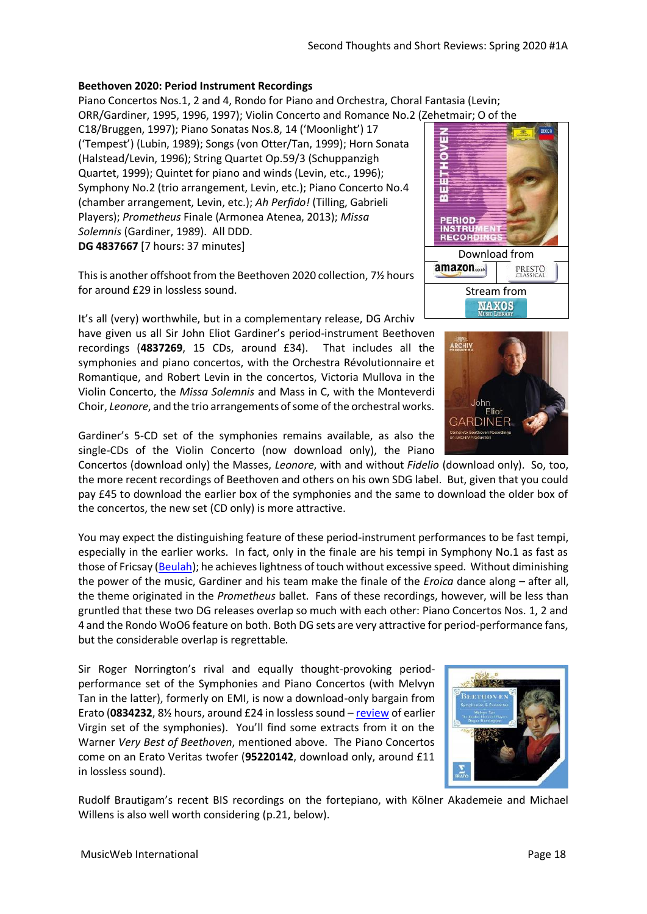# **Beethoven 2020: Period Instrument Recordings**

Piano Concertos Nos.1, 2 and 4, Rondo for Piano and Orchestra, Choral Fantasia (Levin;

ORR/Gardiner, 1995, 1996, 1997); Violin Concerto and Romance No.2 (Zehetmair; O of the

C18/Bruggen, 1997); Piano Sonatas Nos.8, 14 ('Moonlight') 17 ('Tempest') (Lubin, 1989); Songs (von Otter/Tan, 1999); Horn Sonata (Halstead/Levin, 1996); String Quartet Op.59/3 (Schuppanzigh Quartet, 1999); Quintet for piano and winds (Levin, etc., 1996); Symphony No.2 (trio arrangement, Levin, etc.); Piano Concerto No.4 (chamber arrangement, Levin, etc.); *Ah Perfido!* (Tilling, Gabrieli Players); *Prometheus* Finale (Armonea Atenea, 2013); *Missa Solemnis* (Gardiner, 1989). All DDD. **DG 4837667** [7 hours: 37 minutes]

This is another offshoot from the Beethoven 2020 collection, 7½ hours for around £29 in lossless sound.

It's all (very) worthwhile, but in a complementary release, DG Archiv have given us all Sir John Eliot Gardiner's period-instrument Beethoven recordings (**4837269**, 15 CDs, around £34). That includes all the symphonies and piano concertos, with the Orchestra Révolutionnaire et Romantique, and Robert Levin in the concertos, Victoria Mullova in the Violin Concerto, the *Missa Solemnis* and Mass in C, with the Monteverdi Choir, *Leonore*, and the trio arrangements of some of the orchestral works.



Concertos (download only) the Masses, *Leonore*, with and without *Fidelio* (download only). So, too, the more recent recordings of Beethoven and others on his own SDG label. But, given that you could pay £45 to download the earlier box of the symphonies and the same to download the older box of the concertos, the new set (CD only) is more attractive.

You may expect the distinguishing feature of these period-instrument performances to be fast tempi, especially in the earlier works. In fact, only in the finale are his tempi in Symphony No.1 as fast as those of Fricsay [\(Beulah\)](http://musicweb-international.com/classrev/2020/Mar/Beethoven_250_Beulah.pdf); he achieves lightness of touch without excessive speed. Without diminishing the power of the music, Gardiner and his team make the finale of the *Eroica* dance along – after all, the theme originated in the *Prometheus* ballet. Fans of these recordings, however, will be less than gruntled that these two DG releases overlap so much with each other: Piano Concertos Nos. 1, 2 and 4 and the Rondo WoO6 feature on both. Both DG sets are very attractive for period-performance fans, but the considerable overlap is regrettable.

Sir Roger Norrington's rival and equally thought-provoking periodperformance set of the Symphonies and Piano Concertos (with Melvyn Tan in the latter), formerly on EMI, is now a download-only bargain from Erato (**0834232**, 8½ hours, around £24 in lossless sound – [review](http://www.musicweb-international.com/classrev/2001/Dec01/Beethoven_symphonies_Norrington.htm) of earlier Virgin set of the symphonies). You'll find some extracts from it on the Warner *Very Best of Beethoven*, mentioned above. The Piano Concertos come on an Erato Veritas twofer (**95220142**, download only, around £11 in lossless sound).

Rudolf Brautigam's recent BIS recordings on the fortepiano, with Kölner Akademeie and Michael Willens is also well worth considering (p.21, below).





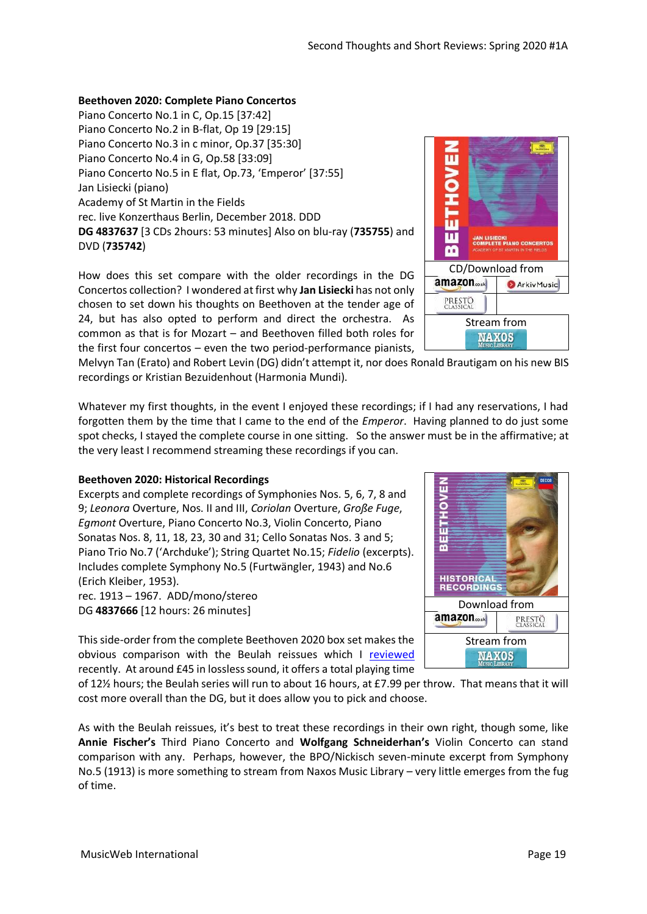MusicWeb International **Page 19** 

#### **Beethoven 2020: Complete Piano Concertos**

Piano Concerto No.1 in C, Op.15 [37:42] Piano Concerto No.2 in B-flat, Op 19 [29:15] Piano Concerto No.3 in c minor, Op.37 [35:30] Piano Concerto No.4 in G, Op.58 [33:09] Piano Concerto No.5 in E flat, Op.73, 'Emperor' [37:55] Jan Lisiecki (piano) Academy of St Martin in the Fields rec. live Konzerthaus Berlin, December 2018. DDD **DG 4837637** [3 CDs 2hours: 53 minutes] Also on blu-ray (**735755**) and DVD (**735742**)

How does this set compare with the older recordings in the DG Concertos collection? I wondered at first why **Jan Lisiecki** has not only chosen to set down his thoughts on Beethoven at the tender age of 24, but has also opted to perform and direct the orchestra. As common as that is for Mozart – and Beethoven filled both roles for the first four concertos – even the two period-performance pianists,

Melvyn Tan (Erato) and Robert Levin (DG) didn't attempt it, nor does Ronald Brautigam on his new BIS recordings or Kristian Bezuidenhout (Harmonia Mundi).

Whatever my first thoughts, in the event I enjoyed these recordings; if I had any reservations, I had forgotten them by the time that I came to the end of the *Emperor*. Having planned to do just some spot checks, I stayed the complete course in one sitting. So the answer must be in the affirmative; at the very least I recommend streaming these recordings if you can.

#### **Beethoven 2020: Historical Recordings**

Excerpts and complete recordings of Symphonies Nos. 5, 6, 7, 8 and 9; *Leonora* Overture, Nos. II and III, *Coriolan* Overture, *Große Fuge*, *Egmont* Overture, Piano Concerto No.3, Violin Concerto, Piano Sonatas Nos. 8, 11, 18, 23, 30 and 31; Cello Sonatas Nos. 3 and 5; Piano Trio No.7 ('Archduke'); String Quartet No.15; *Fidelio* (excerpts). Includes complete Symphony No.5 (Furtwängler, 1943) and No.6 (Erich Kleiber, 1953). rec. 1913 – 1967. ADD/mono/stereo

DG **4837666** [12 hours: 26 minutes]

This side-order from the complete Beethoven 2020 box set makes the obvious comparison with the Beulah reissues which I [reviewed](http://musicweb-international.com/classrev/2020/Mar/Beethoven_250_Beulah.pdf) recently. At around £45 in lossless sound, it offers a total playing time

of 12½ hours; the Beulah series will run to about 16 hours, at £7.99 per throw. That means that it will cost more overall than the DG, but it does allow you to pick and choose.

As with the Beulah reissues, it's best to treat these recordings in their own right, though some, like **Annie Fischer's** Third Piano Concerto and **Wolfgang Schneiderhan's** Violin Concerto can stand comparison with any. Perhaps, however, the BPO/Nickisch seven-minute excerpt from Symphony No.5 (1913) is more something to stream from Naxos Music Library – very little emerges from the fug of time.



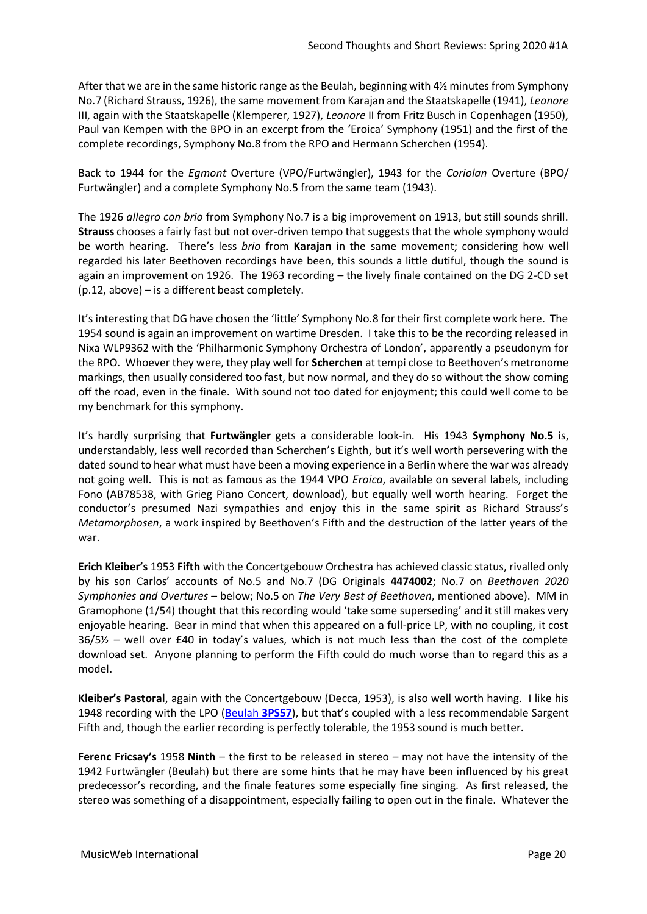After that we are in the same historic range as the Beulah, beginning with 4½ minutes from Symphony No.7 (Richard Strauss, 1926), the same movement from Karajan and the Staatskapelle (1941), *Leonore* III, again with the Staatskapelle (Klemperer, 1927), *Leonore* II from Fritz Busch in Copenhagen (1950), Paul van Kempen with the BPO in an excerpt from the 'Eroica' Symphony (1951) and the first of the complete recordings, Symphony No.8 from the RPO and Hermann Scherchen (1954).

Back to 1944 for the *Egmont* Overture (VPO/Furtwängler), 1943 for the *Coriolan* Overture (BPO/ Furtwängler) and a complete Symphony No.5 from the same team (1943).

The 1926 *allegro con brio* from Symphony No.7 is a big improvement on 1913, but still sounds shrill. **Strauss** chooses a fairly fast but not over-driven tempo that suggests that the whole symphony would be worth hearing. There's less *brio* from **Karajan** in the same movement; considering how well regarded his later Beethoven recordings have been, this sounds a little dutiful, though the sound is again an improvement on 1926. The 1963 recording – the lively finale contained on the DG 2-CD set (p.12, above) – is a different beast completely.

It's interesting that DG have chosen the 'little' Symphony No.8 for their first complete work here. The 1954 sound is again an improvement on wartime Dresden. I take this to be the recording released in Nixa WLP9362 with the 'Philharmonic Symphony Orchestra of London', apparently a pseudonym for the RPO. Whoever they were, they play well for **Scherchen** at tempi close to Beethoven's metronome markings, then usually considered too fast, but now normal, and they do so without the show coming off the road, even in the finale. With sound not too dated for enjoyment; this could well come to be my benchmark for this symphony.

It's hardly surprising that **Furtwängler** gets a considerable look-in. His 1943 **Symphony No.5** is, understandably, less well recorded than Scherchen's Eighth, but it's well worth persevering with the dated sound to hear what must have been a moving experience in a Berlin where the war was already not going well. This is not as famous as the 1944 VPO *Eroica*, available on several labels, including Fono (AB78538, with Grieg Piano Concert, download), but equally well worth hearing. Forget the conductor's presumed Nazi sympathies and enjoy this in the same spirit as Richard Strauss's *Metamorphosen*, a work inspired by Beethoven's Fifth and the destruction of the latter years of the war.

**Erich Kleiber's** 1953 **Fifth** with the Concertgebouw Orchestra has achieved classic status, rivalled only by his son Carlos' accounts of No.5 and No.7 (DG Originals **4474002**; No.7 on *Beethoven 2020 Symphonies and Overtures* – below; No.5 on *The Very Best of Beethoven*, mentioned above). MM in Gramophone (1/54) thought that this recording would 'take some superseding' and it still makes very enjoyable hearing. Bear in mind that when this appeared on a full-price LP, with no coupling, it cost 36/5½ – well over £40 in today's values, which is not much less than the cost of the complete download set. Anyone planning to perform the Fifth could do much worse than to regard this as a model.

**Kleiber's Pastoral**, again with the Concertgebouw (Decca, 1953), is also well worth having. I like his 1948 recording with the LPO [\(Beulah](http://musicweb-international.com/classrev/2020/Mar/Beethoven_250_Beulah.pdf) **3PS57**), but that's coupled with a less recommendable Sargent Fifth and, though the earlier recording is perfectly tolerable, the 1953 sound is much better.

**Ferenc Fricsay's** 1958 **Ninth** – the first to be released in stereo – may not have the intensity of the 1942 Furtwängler (Beulah) but there are some hints that he may have been influenced by his great predecessor's recording, and the finale features some especially fine singing. As first released, the stereo was something of a disappointment, especially failing to open out in the finale. Whatever the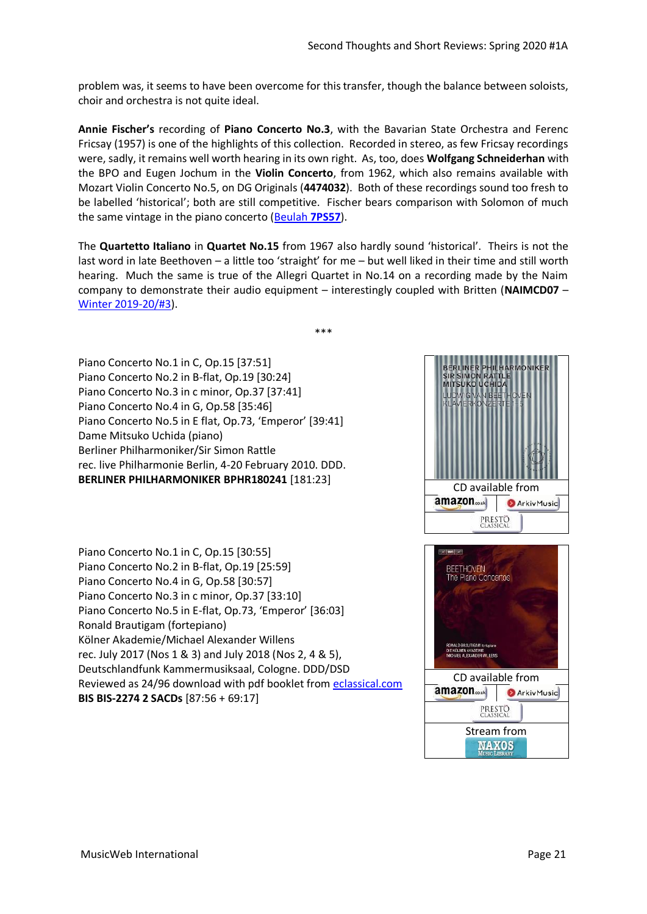problem was, it seems to have been overcome for this transfer, though the balance between soloists, choir and orchestra is not quite ideal.

**Annie Fischer's** recording of **Piano Concerto No.3**, with the Bavarian State Orchestra and Ferenc Fricsay (1957) is one of the highlights of this collection. Recorded in stereo, as few Fricsay recordings were, sadly, it remains well worth hearing in its own right. As, too, does **Wolfgang Schneiderhan** with the BPO and Eugen Jochum in the **Violin Concerto**, from 1962, which also remains available with Mozart Violin Concerto No.5, on DG Originals (**4474032**). Both of these recordings sound too fresh to be labelled 'historical'; both are still competitive. Fischer bears comparison with Solomon of much the same vintage in the piano concerto [\(Beulah](http://musicweb-international.com/classrev/2020/Mar/Beethoven_250_Beulah.pdf) **7PS57**).

The **Quartetto Italiano** in **Quartet No.15** from 1967 also hardly sound 'historical'. Theirs is not the last word in late Beethoven – a little too 'straight' for me – but well liked in their time and still worth hearing. Much the same is true of the Allegri Quartet in No.14 on a recording made by the Naim company to demonstrate their audio equipment – interestingly coupled with Britten (**NAIMCD07** – [Winter 2019-20/#3\)](http://musicweb-international.com/classrev/2020/Feb/Winter_2019_20_3.pdf).

\*\*\*

Piano Concerto No.1 in C, Op.15 [37:51] Piano Concerto No.2 in B-flat, Op.19 [30:24] Piano Concerto No.3 in c minor, Op.37 [37:41] Piano Concerto No.4 in G, Op.58 [35:46] Piano Concerto No.5 in E flat, Op.73, 'Emperor' [39:41] Dame Mitsuko Uchida (piano) Berliner Philharmoniker/Sir Simon Rattle rec. live Philharmonie Berlin, 4-20 February 2010. DDD. **BERLINER PHILHARMONIKER BPHR180241** [181:23]

Piano Concerto No.1 in C, Op.15 [30:55] Piano Concerto No.2 in B-flat, Op.19 [25:59] Piano Concerto No.4 in G, Op.58 [30:57] Piano Concerto No.3 in c minor, Op.37 [33:10] Piano Concerto No.5 in E-flat, Op.73, 'Emperor' [36:03] Ronald Brautigam (fortepiano) Kölner Akademie/Michael Alexander Willens rec. July 2017 (Nos 1 & 3) and July 2018 (Nos 2, 4 & 5), Deutschlandfunk Kammermusiksaal, Cologne. DDD/DSD Reviewed as 24/96 download with pdf booklet fro[m eclassical.com](https://www.eclassical.com/performers/brautigam-ronald/beethoven-the-piano-concertos.html) **BIS BIS-2274 2 SACDs** [87:56 + 69:17]



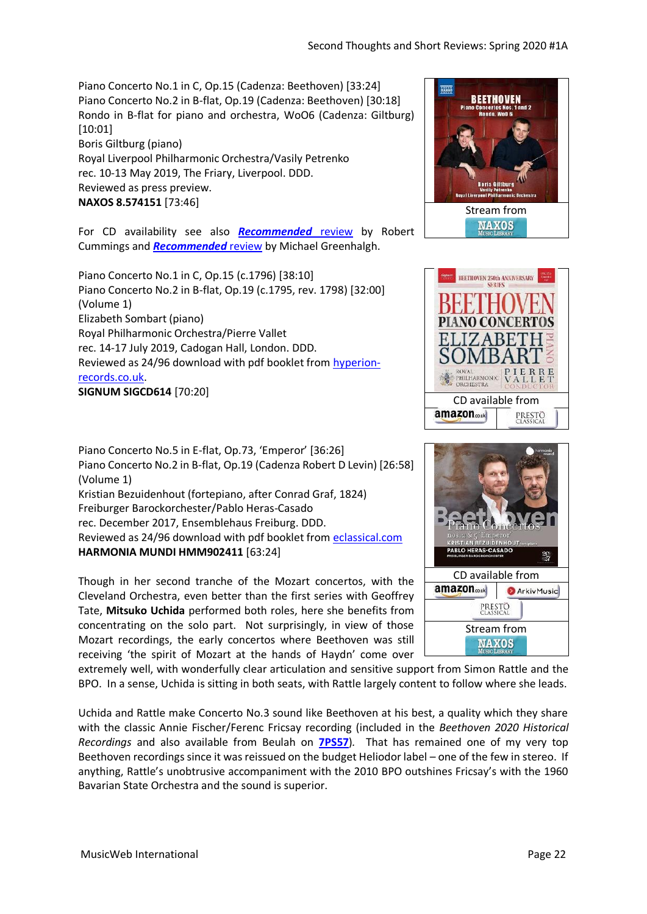Piano Concerto No.1 in C, Op.15 (Cadenza: Beethoven) [33:24] Piano Concerto No.2 in B-flat, Op.19 (Cadenza: Beethoven) [30:18] Rondo in B-flat for piano and orchestra, WoO6 (Cadenza: Giltburg) [10:01] Boris Giltburg (piano) Royal Liverpool Philharmonic Orchestra/Vasily Petrenko rec. 10-13 May 2019, The Friary, Liverpool. DDD. Reviewed as press preview. **NAXOS 8.574151** [73:46]

For CD availability see also *[Recommended](http://musicweb-international.com/classrev/2020/Jan/Beethoven_PCs_8574151.htm)* review by Robert Cummings and *[Recommended](http://www.musicweb-international.com/classrev/2019/Nov/Beethoven_PCs_8574151.htm)* review by Michael Greenhalgh.

Piano Concerto No.1 in C, Op.15 (c.1796) [38:10] Piano Concerto No.2 in B-flat, Op.19 (c.1795, rev. 1798) [32:00] (Volume 1) Elizabeth Sombart (piano) Royal Philharmonic Orchestra/Pierre Vallet rec. 14-17 July 2019, Cadogan Hall, London. DDD. Reviewed as 24/96 download with pdf booklet from [hyperion](https://www.hyperion-records.co.uk/dc.asp?dc=D_SIGCD614)[records.co.uk.](https://www.hyperion-records.co.uk/dc.asp?dc=D_SIGCD614) **SIGNUM SIGCD614** [70:20]

Piano Concerto No.5 in E-flat, Op.73, 'Emperor' [36:26] Piano Concerto No.2 in B-flat, Op.19 (Cadenza Robert D Levin) [26:58] (Volume 1) Kristian Bezuidenhout (fortepiano, after Conrad Graf, 1824) Freiburger Barockorchester/Pablo Heras-Casado rec. December 2017, Ensemblehaus Freiburg. DDD. Reviewed as 24/96 download with pdf booklet from [eclassical.com](https://www.eclassical.com/harmonia-mundi/beethoven-piano-concertos-nos-2-5.html) **HARMONIA MUNDI HMM902411** [63:24]

Though in her second tranche of the Mozart concertos, with the Cleveland Orchestra, even better than the first series with Geoffrey Tate, **Mitsuko Uchida** performed both roles, here she benefits from concentrating on the solo part. Not surprisingly, in view of those Mozart recordings, the early concertos where Beethoven was still receiving 'the spirit of Mozart at the hands of Haydn' come over







extremely well, with wonderfully clear articulation and sensitive support from Simon Rattle and the BPO. In a sense, Uchida is sitting in both seats, with Rattle largely content to follow where she leads.

Uchida and Rattle make Concerto No.3 sound like Beethoven at his best, a quality which they share with the classic Annie Fischer/Ferenc Fricsay recording (included in the *Beethoven 2020 Historical Recordings* and also available from Beulah on **[7PS57](http://musicweb-international.com/classrev/2020/Mar/Beethoven_250_Beulah.pdf)**)*.* That has remained one of my very top Beethoven recordings since it was reissued on the budget Heliodor label – one of the few in stereo. If anything, Rattle's unobtrusive accompaniment with the 2010 BPO outshines Fricsay's with the 1960 Bavarian State Orchestra and the sound is superior.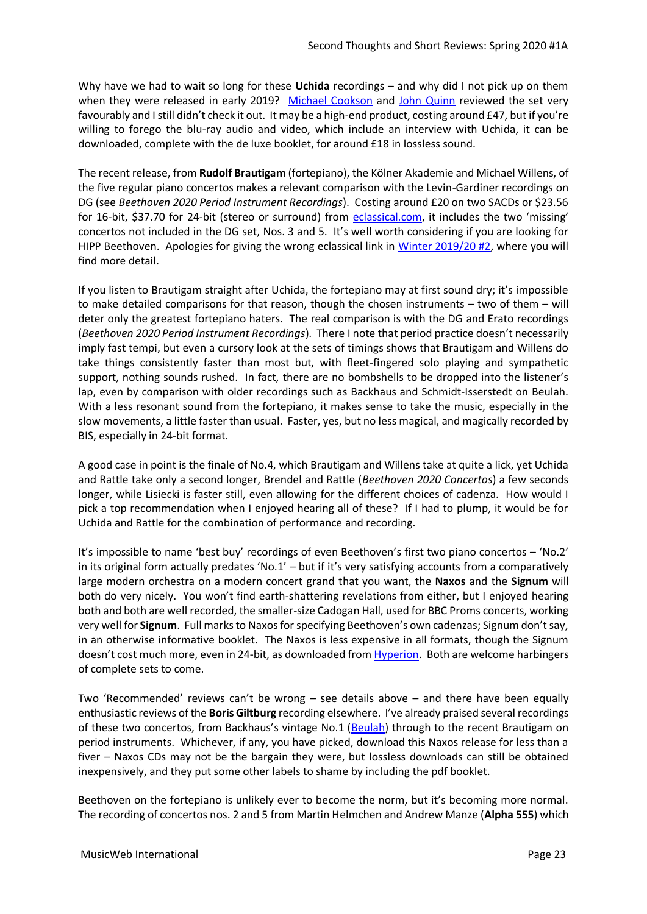Why have we had to wait so long for these **Uchida** recordings – and why did I not pick up on them when they were released in early 2019? [Michael Cookson](http://www.musicweb-international.com/classrev/2018/Dec/Beethoven_PCs_BPHR180241.htm) and [John Quinn](http://www.musicweb-international.com/classrev/2019/Mar/Beethoven_PCs_BPHR180241.htm) reviewed the set very favourably and I still didn't check it out. It may be a high-end product, costing around £47, but if you're willing to forego the blu-ray audio and video, which include an interview with Uchida, it can be downloaded, complete with the de luxe booklet, for around £18 in lossless sound.

The recent release, from **Rudolf Brautigam** (fortepiano), the Kölner Akademie and Michael Willens, of the five regular piano concertos makes a relevant comparison with the Levin-Gardiner recordings on DG (see *Beethoven 2020 Period Instrument Recordings*). Costing around £20 on two SACDs or \$23.56 for 16-bit, \$37.70 for 24-bit (stereo or surround) from [eclassical.com](https://www.eclassical.com/performers/brautigam-ronald/beethoven-the-piano-concertos.html), it includes the two 'missing' concertos not included in the DG set, Nos. 3 and 5. It's well worth considering if you are looking for HIPP Beethoven. Apologies for giving the wrong eclassical link in [Winter 2019/20 #2,](http://www.musicweb-international.com/classrev/2020/Jan/Winter_2019-20_2.pdf) where you will find more detail.

If you listen to Brautigam straight after Uchida, the fortepiano may at first sound dry; it's impossible to make detailed comparisons for that reason, though the chosen instruments – two of them – will deter only the greatest fortepiano haters. The real comparison is with the DG and Erato recordings (*Beethoven 2020 Period Instrument Recordings*). There I note that period practice doesn't necessarily imply fast tempi, but even a cursory look at the sets of timings shows that Brautigam and Willens do take things consistently faster than most but, with fleet-fingered solo playing and sympathetic support, nothing sounds rushed. In fact, there are no bombshells to be dropped into the listener's lap, even by comparison with older recordings such as Backhaus and Schmidt-Isserstedt on Beulah. With a less resonant sound from the fortepiano, it makes sense to take the music, especially in the slow movements, a little faster than usual. Faster, yes, but no less magical, and magically recorded by BIS, especially in 24-bit format.

A good case in point is the finale of No.4, which Brautigam and Willens take at quite a lick, yet Uchida and Rattle take only a second longer, Brendel and Rattle (*Beethoven 2020 Concertos*) a few seconds longer, while Lisiecki is faster still, even allowing for the different choices of cadenza. How would I pick a top recommendation when I enjoyed hearing all of these? If I had to plump, it would be for Uchida and Rattle for the combination of performance and recording.

It's impossible to name 'best buy' recordings of even Beethoven's first two piano concertos – 'No.2' in its original form actually predates 'No.1' – but if it's very satisfying accounts from a comparatively large modern orchestra on a modern concert grand that you want, the **Naxos** and the **Signum** will both do very nicely. You won't find earth-shattering revelations from either, but I enjoyed hearing both and both are well recorded, the smaller-size Cadogan Hall, used for BBC Proms concerts, working very well for **Signum**. Full marks to Naxos for specifying Beethoven's own cadenzas; Signum don't say, in an otherwise informative booklet. The Naxos is less expensive in all formats, though the Signum doesn't cost much more, even in 24-bit, as downloaded fro[m Hyperion.](https://www.hyperion-records.co.uk/dc.asp?dc=D_SIGCD614) Both are welcome harbingers of complete sets to come.

Two 'Recommended' reviews can't be wrong – see details above – and there have been equally enthusiastic reviews of the **Boris Giltburg** recording elsewhere. I've already praised several recordings of these two concertos, from Backhaus's vintage No.1 ([Beulah\)](http://musicweb-international.com/classrev/2020/Mar/Beethoven_250_Beulah.pdf) through to the recent Brautigam on period instruments. Whichever, if any, you have picked, download this Naxos release for less than a fiver – Naxos CDs may not be the bargain they were, but lossless downloads can still be obtained inexpensively, and they put some other labels to shame by including the pdf booklet.

Beethoven on the fortepiano is unlikely ever to become the norm, but it's becoming more normal. The recording of concertos nos. 2 and 5 from Martin Helmchen and Andrew Manze (**Alpha 555**) which